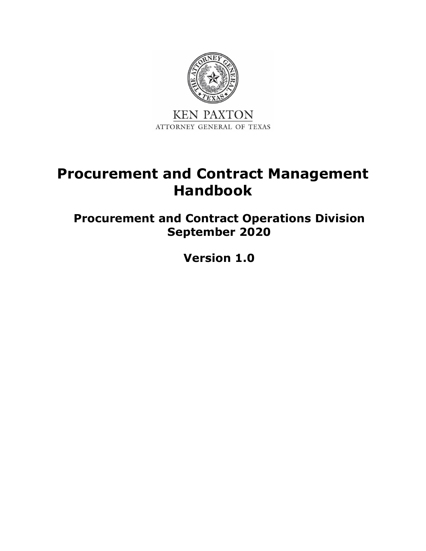

# <span id="page-0-0"></span>**Procurement and Contract Management Handbook**

**Procurement and Contract Operations Division September 2020**

**Version 1.0**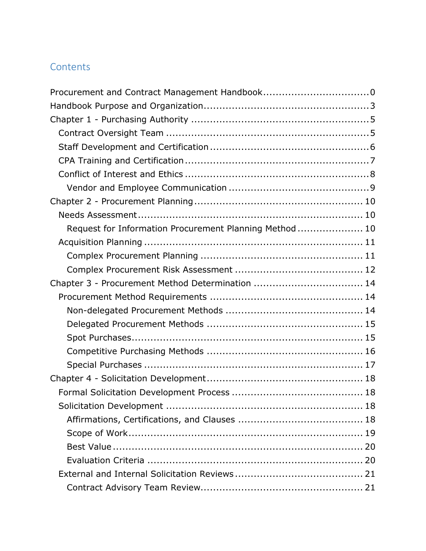# **Contents**

| Request for Information Procurement Planning Method  10 |  |
|---------------------------------------------------------|--|
|                                                         |  |
|                                                         |  |
|                                                         |  |
| Chapter 3 - Procurement Method Determination  14        |  |
|                                                         |  |
|                                                         |  |
|                                                         |  |
|                                                         |  |
|                                                         |  |
|                                                         |  |
|                                                         |  |
|                                                         |  |
|                                                         |  |
|                                                         |  |
|                                                         |  |
|                                                         |  |
|                                                         |  |
|                                                         |  |
|                                                         |  |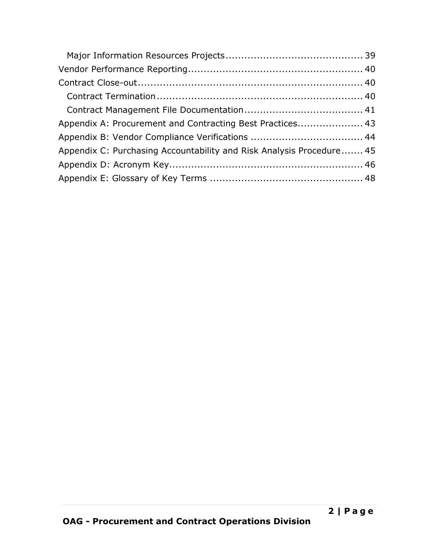| Appendix A: Procurement and Contracting Best Practices 43            |  |
|----------------------------------------------------------------------|--|
|                                                                      |  |
| Appendix C: Purchasing Accountability and Risk Analysis Procedure 45 |  |
|                                                                      |  |
|                                                                      |  |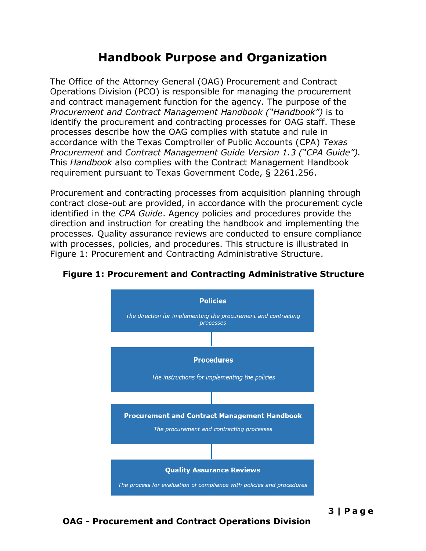# **Handbook Purpose and Organization**

<span id="page-4-0"></span>The Office of the Attorney General (OAG) Procurement and Contract Operations Division (PCO) is responsible for managing the procurement and contract management function for the agency. The purpose of the *Procurement and Contract Management Handbook ("Handbook")* is to identify the procurement and contracting processes for OAG staff. These processes describe how the OAG complies with statute and rule in accordance with the Texas Comptroller of Public Accounts (CPA) *Texas Procurement* and *Contract Management Guide Version 1.3 ("CPA Guide").* This *Handbook* also complies with the Contract Management Handbook requirement pursuant to Texas Government Code, § 2261.256.

Procurement and contracting processes from acquisition planning through contract close-out are provided, in accordance with the procurement cycle identified in the *CPA Guide*. Agency policies and procedures provide the direction and instruction for creating the handbook and implementing the processes. Quality assurance reviews are conducted to ensure compliance with processes, policies, and procedures. This structure is illustrated in [Figure 1: Procurement and Contracting Administrative Structure.](#page-4-1)



#### <span id="page-4-1"></span>**Figure 1: Procurement and Contracting Administrative Structure**

**3 | P a g e**

### **OAG - Procurement and Contract Operations Division**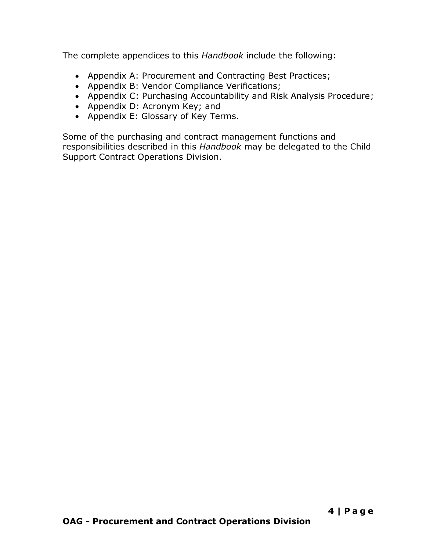The complete appendices to this *Handbook* include the following:

- Appendix A: Procurement and Contracting Best Practices;
- Appendix B: Vendor Compliance Verifications;
- Appendix C: Purchasing Accountability and Risk Analysis Procedure;
- Appendix D: Acronym Key; and
- Appendix E: Glossary of Key Terms.

Some of the purchasing and contract management functions and responsibilities described in this *Handbook* may be delegated to the Child Support Contract Operations Division.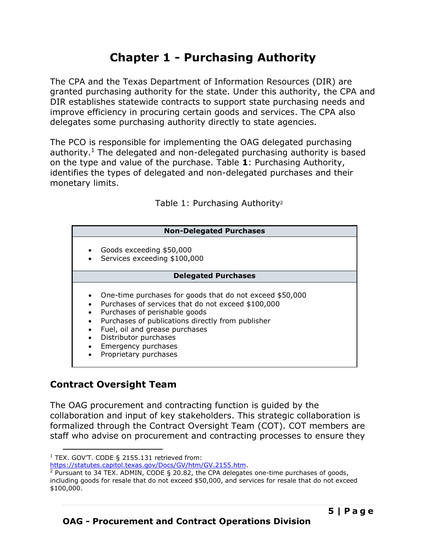# **Chapter 1 - Purchasing Authority**

<span id="page-6-0"></span>The CPA and the Texas Department of Information Resources (DIR) are granted purchasing authority for the state. Under this authority, the CPA and DIR establishes statewide contracts to support state purchasing needs and improve efficiency in procuring certain goods and services. The CPA also delegates some purchasing authority directly to state agencies.

The PCO is responsible for implementing the OAG delegated purchasing authority.<sup>1</sup> The delegated and non-delegated purchasing authority is based on the type and value of the purchase. Table **1**: [Purchasing Authority,](#page-6-2) identifies the types of delegated and non-delegated purchases and their monetary limits.

Table 1: Purchasing Authority<sup>2</sup>

| <b>Non-Delegated Purchases</b> |  |
|--------------------------------|--|
|--------------------------------|--|

- <span id="page-6-2"></span>• Goods exceeding \$50,000
	- Services exceeding \$100,000

#### **Delegated Purchases**

- One-time purchases for goods that do not exceed \$50,000
- Purchases of services that do not exceed \$100,000
- Purchases of perishable goods
- Purchases of publications directly from publisher
- Fuel, oil and grease purchases
- Distributor purchases
- Emergency purchases
- Proprietary purchases

### <span id="page-6-1"></span>**Contract Oversight Team**

The OAG procurement and contracting function is guided by the collaboration and input of key stakeholders. This strategic collaboration is formalized through the Contract Oversight Team (COT). COT members are staff who advise on procurement and contracting processes to ensure they

 $1$  TEX. GOVT. CODE § 2155.131 retrieved from:

[https://statutes.capitol.texas.gov/Docs/GV/htm/GV.2155.htm.](https://statutes.capitol.texas.gov/Docs/GV/htm/GV.2155.htm)

<sup>2</sup> Pursuant to 34 TEX. ADMIN, CODE § 20.82, the CPA delegates one-time purchases of goods, including goods for resale that do not exceed \$50,000, and services for resale that do not exceed \$100,000.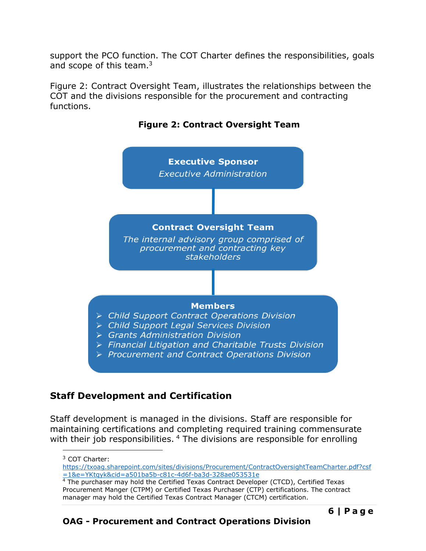support the PCO function. The COT Charter defines the responsibilities, goals and scope of this team.<sup>3</sup>

[Figure 2: Contract Oversight Team,](#page-7-1) illustrates the relationships between the COT and the divisions responsible for the procurement and contracting functions.

<span id="page-7-1"></span>

**Figure 2: Contract Oversight Team**

# <span id="page-7-0"></span>**Staff Development and Certification**

Staff development is managed in the divisions. Staff are responsible for maintaining certifications and completing required training commensurate with their job responsibilities. <sup>4</sup> The divisions are responsible for enrolling

[https://txoag.sharepoint.com/sites/divisions/Procurement/ContractOversightTeamCharter.pdf?csf](https://txoag.sharepoint.com/sites/divisions/Procurement/ContractOversightTeamCharter.pdf?csf=1&e=YKtqyk&cid=a501ba5b-c81c-4d6f-ba3d-328ae053531e) [=1&e=YKtqyk&cid=a501ba5b-c81c-4d6f-ba3d-328ae053531e](https://txoag.sharepoint.com/sites/divisions/Procurement/ContractOversightTeamCharter.pdf?csf=1&e=YKtqyk&cid=a501ba5b-c81c-4d6f-ba3d-328ae053531e)

<sup>3</sup> COT Charter:

 $4$  The purchaser may hold the Certified Texas Contract Developer (CTCD), Certified Texas Procurement Manger (CTPM) or Certified Texas Purchaser (CTP) certifications. The contract manager may hold the Certified Texas Contract Manager (CTCM) certification.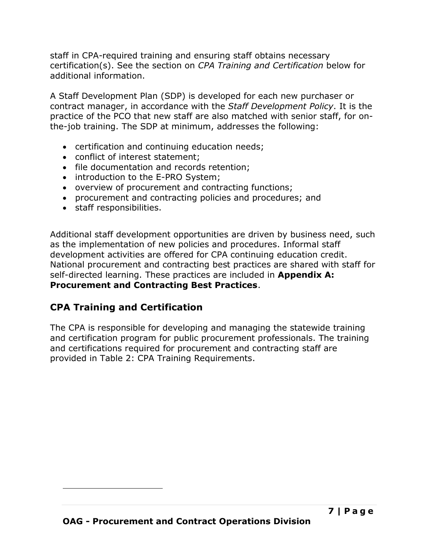staff in CPA-required training and ensuring staff obtains necessary certification(s). See the section on *CPA Training and Certification* below for additional information.

A Staff Development Plan (SDP) is developed for each new purchaser or contract manager, in accordance with the *Staff Development Policy*. It is the practice of the PCO that new staff are also matched with senior staff, for onthe-job training. The SDP at minimum, addresses the following:

- certification and continuing education needs;
- conflict of interest statement;
- file documentation and records retention;
- introduction to the E-PRO System;
- overview of procurement and contracting functions;
- procurement and contracting policies and procedures; and
- staff responsibilities.

Additional staff development opportunities are driven by business need, such as the implementation of new policies and procedures. Informal staff development activities are offered for CPA continuing education credit. National procurement and contracting best practices are shared with staff for self-directed learning. These practices are included in **Appendix A: Procurement and Contracting Best Practices**.

# <span id="page-8-0"></span>**CPA Training and Certification**

The CPA is responsible for developing and managing the statewide training and certification program for public procurement professionals. The training and certifications required for procurement and contracting staff are provided in Table 2: CPA [Training Requirements.](#page-9-1)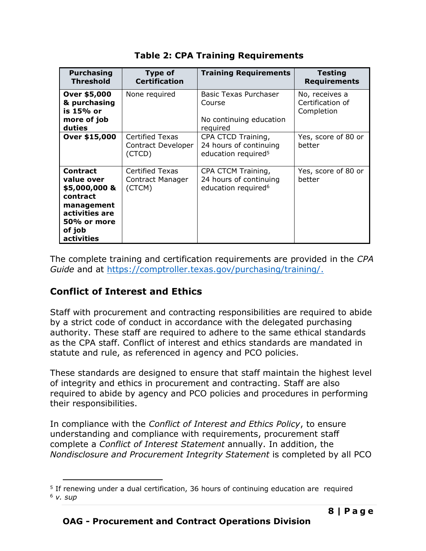<span id="page-9-1"></span>

| <b>Purchasing</b><br><b>Threshold</b>                                                                                             | <b>Type of</b><br><b>Certification</b>                 | <b>Training Requirements</b>                                                    | <b>Testing</b><br><b>Requirements</b>            |
|-----------------------------------------------------------------------------------------------------------------------------------|--------------------------------------------------------|---------------------------------------------------------------------------------|--------------------------------------------------|
| Over \$5,000<br>& purchasing<br>is 15% or<br>more of job<br>duties                                                                | None required                                          | Basic Texas Purchaser<br>Course<br>No continuing education<br>required          | No, receives a<br>Certification of<br>Completion |
| Over \$15,000                                                                                                                     | <b>Certified Texas</b><br>Contract Developer<br>(CTCD) | CPA CTCD Training,<br>24 hours of continuing<br>education required <sup>5</sup> | Yes, score of 80 or<br>better                    |
| <b>Contract</b><br>value over<br>\$5,000,000 &<br>contract<br>management<br>activities are<br>50% or more<br>of job<br>activities | Certified Texas<br>Contract Manager<br>(CTCM)          | CPA CTCM Training,<br>24 hours of continuing<br>education required <sup>6</sup> | Yes, score of 80 or<br>better                    |

**Table 2: CPA Training Requirements**

The complete training and certification requirements are provided in the *CPA Guide* and at [https://comptroller.texas.gov/purchasing/training/.](https://comptroller.texas.gov/purchasing/training/)

# <span id="page-9-0"></span>**Conflict of Interest and Ethics**

Staff with procurement and contracting responsibilities are required to abide by a strict code of conduct in accordance with the delegated purchasing authority. These staff are required to adhere to the same ethical standards as the CPA staff. Conflict of interest and ethics standards are mandated in statute and rule, as referenced in agency and PCO policies.

These standards are designed to ensure that staff maintain the highest level of integrity and ethics in procurement and contracting. Staff are also required to abide by agency and PCO policies and procedures in performing their responsibilities.

In compliance with the *Conflict of Interest and Ethics Policy*, to ensure understanding and compliance with requirements, procurement staff complete a *Conflict of Interest Statement* annually. In addition, the *Nondisclosure and Procurement Integrity Statement* is completed by all PCO

<sup>5</sup> If renewing under a dual certification, 36 hours of continuing education are required <sup>6</sup> *v. sup*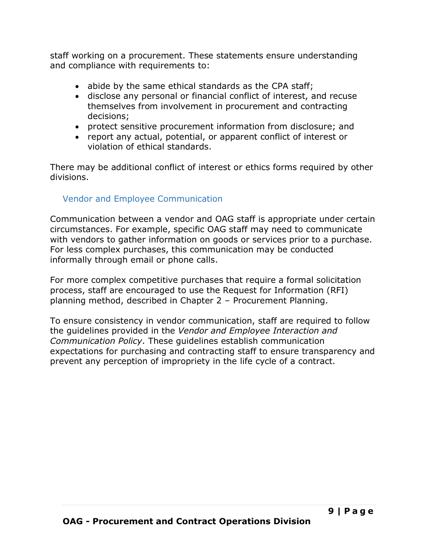staff working on a procurement. These statements ensure understanding and compliance with requirements to:

- abide by the same ethical standards as the CPA staff;
- disclose any personal or financial conflict of interest, and recuse themselves from involvement in procurement and contracting decisions;
- protect sensitive procurement information from disclosure; and
- report any actual, potential, or apparent conflict of interest or violation of ethical standards.

There may be additional conflict of interest or ethics forms required by other divisions.

### <span id="page-10-0"></span>Vendor and Employee Communication

Communication between a vendor and OAG staff is appropriate under certain circumstances. For example, specific OAG staff may need to communicate with vendors to gather information on goods or services prior to a purchase. For less complex purchases, this communication may be conducted informally through email or phone calls.

For more complex competitive purchases that require a formal solicitation process, staff are encouraged to use the Request for Information (RFI) planning method, described in Chapter 2 – Procurement Planning.

To ensure consistency in vendor communication, staff are required to follow the guidelines provided in the *Vendor and Employee Interaction and Communication Policy*. These guidelines establish communication expectations for purchasing and contracting staff to ensure transparency and prevent any perception of impropriety in the life cycle of a contract.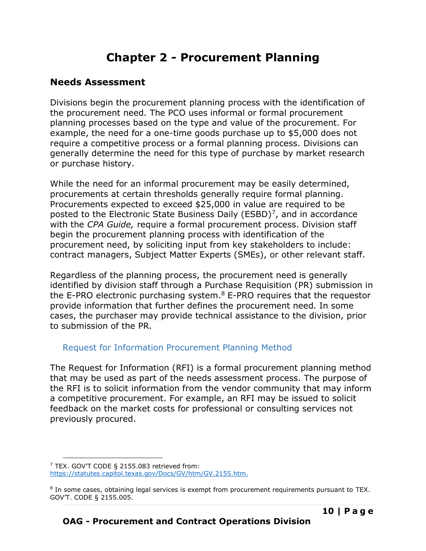# **Chapter 2 - Procurement Planning**

### <span id="page-11-1"></span><span id="page-11-0"></span>**Needs Assessment**

Divisions begin the procurement planning process with the identification of the procurement need. The PCO uses informal or formal procurement planning processes based on the type and value of the procurement. For example, the need for a one-time goods purchase up to \$5,000 does not require a competitive process or a formal planning process. Divisions can generally determine the need for this type of purchase by market research or purchase history.

While the need for an informal procurement may be easily determined, procurements at certain thresholds generally require formal planning. Procurements expected to exceed \$25,000 in value are required to be posted to the Electronic State Business Daily (ESBD)<sup>7</sup>, and in accordance with the *CPA Guide,* require a formal procurement process. Division staff begin the procurement planning process with identification of the procurement need, by soliciting input from key stakeholders to include: contract managers, Subject Matter Experts (SMEs), or other relevant staff.

Regardless of the planning process, the procurement need is generally identified by division staff through a Purchase Requisition (PR) submission in the E-PRO electronic purchasing system. $8$  E-PRO requires that the requestor provide information that further defines the procurement need. In some cases, the purchaser may provide technical assistance to the division, prior to submission of the PR.

### <span id="page-11-2"></span>Request for Information Procurement Planning Method

The Request for Information (RFI) is a formal procurement planning method that may be used as part of the needs assessment process. The purpose of the RFI is to solicit information from the vendor community that may inform a competitive procurement. For example, an RFI may be issued to solicit feedback on the market costs for professional or consulting services not previously procured.

 $7$  TEX. GOV'T CODE § 2155.083 retrieved from: [https://statutes.capitol.texas.gov/Docs/GV/htm/GV.2155.htm.](https://statutes.capitol.texas.gov/Docs/GV/htm/GV.2155.htm)

<sup>&</sup>lt;sup>8</sup> In some cases, obtaining legal services is exempt from procurement requirements pursuant to TEX. GOV'T. CODE § 2155.005.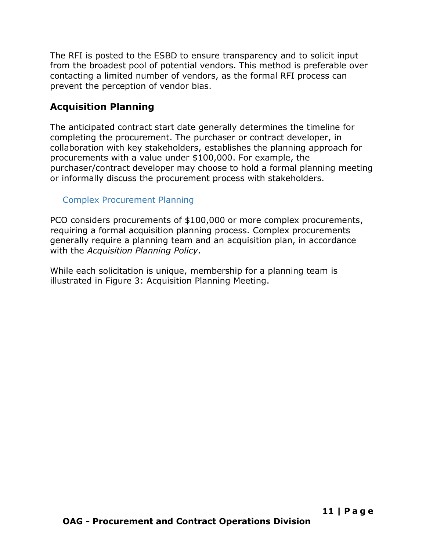The RFI is posted to the ESBD to ensure transparency and to solicit input from the broadest pool of potential vendors. This method is preferable over contacting a limited number of vendors, as the formal RFI process can prevent the perception of vendor bias.

# <span id="page-12-0"></span>**Acquisition Planning**

The anticipated contract start date generally determines the timeline for completing the procurement. The purchaser or contract developer, in collaboration with key stakeholders, establishes the planning approach for procurements with a value under \$100,000. For example, the purchaser/contract developer may choose to hold a formal planning meeting or informally discuss the procurement process with stakeholders.

## <span id="page-12-1"></span>Complex Procurement Planning

PCO considers procurements of \$100,000 or more complex procurements, requiring a formal acquisition planning process. Complex procurements generally require a planning team and an acquisition plan, in accordance with the *Acquisition Planning Policy*.

While each solicitation is unique, membership for a planning team is illustrated in [Figure 3: Acquisition Planning Meeting.](#page-13-1)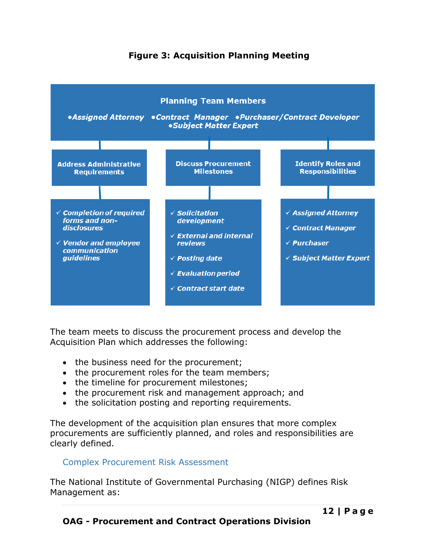### **Figure 3: Acquisition Planning Meeting**

<span id="page-13-1"></span>

The team meets to discuss the procurement process and develop the Acquisition Plan which addresses the following:

- the business need for the procurement;
- the procurement roles for the team members;
- the timeline for procurement milestones;
- the procurement risk and management approach; and
- the solicitation posting and reporting requirements.

The development of the acquisition plan ensures that more complex procurements are sufficiently planned, and roles and responsibilities are clearly defined.

### <span id="page-13-0"></span>Complex Procurement Risk Assessment

The National Institute of Governmental Purchasing (NIGP) defines Risk Management as: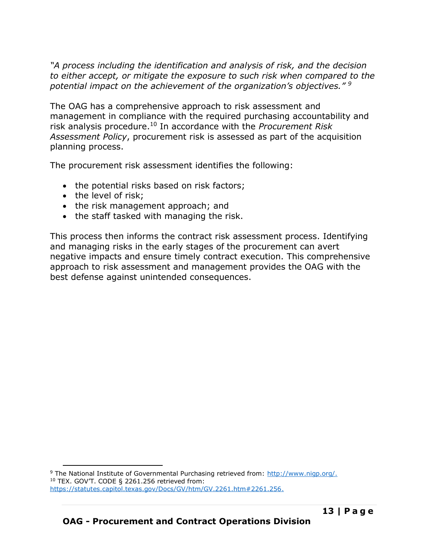*"A process including the identification and analysis of risk, and the decision to either accept, or mitigate the exposure to such risk when compared to the potential impact on the achievement of the organization's objectives." <sup>9</sup>*

The OAG has a comprehensive approach to risk assessment and management in compliance with the required purchasing accountability and risk analysis procedure.<sup>10</sup> In accordance with the *Procurement Risk Assessment Policy*, procurement risk is assessed as part of the acquisition planning process.

The procurement risk assessment identifies the following:

- the potential risks based on risk factors;
- the level of risk:
- the risk management approach; and
- the staff tasked with managing the risk.

This process then informs the contract risk assessment process. Identifying and managing risks in the early stages of the procurement can avert negative impacts and ensure timely contract execution. This comprehensive approach to risk assessment and management provides the OAG with the best defense against unintended consequences.

<sup>9</sup> The National Institute of Governmental Purchasing retrieved from: [http://www.nigp.org/.](http://www.nigp.org/) <sup>10</sup> TEX. GOV'T. CODE § 2261.256 retrieved from: [https://statutes.capitol.texas.gov/Docs/GV/htm/GV.2261.htm#2261.256.](https://statutes.capitol.texas.gov/Docs/GV/htm/GV.2261.htm#2261.256)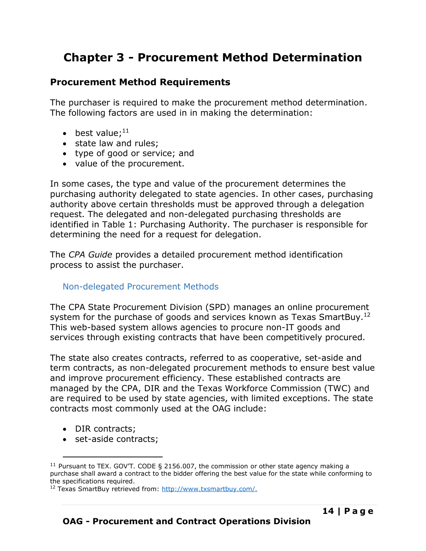# <span id="page-15-0"></span>**Chapter 3 - Procurement Method Determination**

### <span id="page-15-1"></span>**Procurement Method Requirements**

The purchaser is required to make the procurement method determination. The following factors are used in in making the determination:

- best value; $^{11}$
- state law and rules;
- type of good or service; and
- value of the procurement.

In some cases, the type and value of the procurement determines the purchasing authority delegated to state agencies. In other cases, purchasing authority above certain thresholds must be approved through a delegation request. The delegated and non-delegated purchasing thresholds are identified in Table 1: [Purchasing Authority.](#page-6-2) The purchaser is responsible for determining the need for a request for delegation.

The *CPA Guide* provides a detailed procurement method identification process to assist the purchaser.

### <span id="page-15-2"></span>Non-delegated Procurement Methods

The CPA State Procurement Division (SPD) manages an online procurement system for the purchase of goods and services known as Texas SmartBuy.<sup>12</sup> This web-based system allows agencies to procure non-IT goods and services through existing contracts that have been competitively procured.

The state also creates contracts, referred to as cooperative, set-aside and term contracts, as non-delegated procurement methods to ensure best value and improve procurement efficiency. These established contracts are managed by the CPA, DIR and the Texas Workforce Commission (TWC) and are required to be used by state agencies, with limited exceptions. The state contracts most commonly used at the OAG include:

- DIR contracts;
- set-aside contracts;

<sup>&</sup>lt;sup>11</sup> Pursuant to TEX. GOV'T. CODE § 2156.007, the commission or other state agency making a purchase shall award a contract to the bidder offering the best value for the state while conforming to the specifications required.

<sup>&</sup>lt;sup>12</sup> Texas SmartBuy retrieved from: [http://www.txsmartbuy.com/.](http://www.txsmartbuy.com/)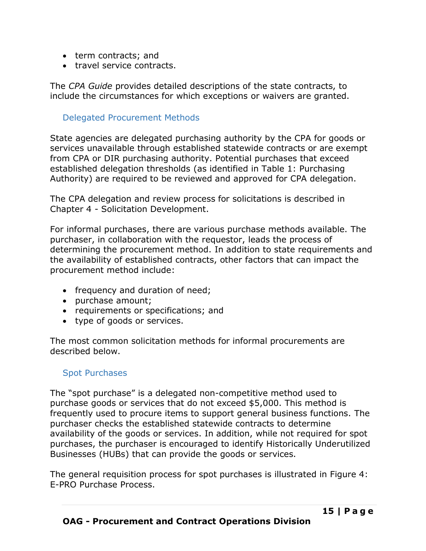- term contracts; and
- travel service contracts.

The *CPA Guide* provides detailed descriptions of the state contracts, to include the circumstances for which exceptions or waivers are granted.

### <span id="page-16-0"></span>Delegated Procurement Methods

State agencies are delegated purchasing authority by the CPA for goods or services unavailable through established statewide contracts or are exempt from CPA or DIR purchasing authority. Potential purchases that exceed established delegation thresholds (as identified in Table 1: [Purchasing](#page-6-2)  [Authority\)](#page-6-2) are required to be reviewed and approved for CPA delegation.

The CPA delegation and review process for solicitations is described in Chapter 4 - [Solicitation Development.](#page-19-0)

For informal purchases, there are various purchase methods available. The purchaser, in collaboration with the requestor, leads the process of determining the procurement method. In addition to state requirements and the availability of established contracts, other factors that can impact the procurement method include:

- frequency and duration of need;
- purchase amount;
- requirements or specifications; and
- type of goods or services.

The most common solicitation methods for informal procurements are described below.

### <span id="page-16-1"></span>Spot Purchases

The "spot purchase" is a delegated non-competitive method used to purchase goods or services that do not exceed \$5,000. This method is frequently used to procure items to support general business functions. The purchaser checks the established statewide contracts to determine availability of the goods or services. In addition, while not required for spot purchases, the purchaser is encouraged to identify Historically Underutilized Businesses (HUBs) that can provide the goods or services.

The general requisition process for spot purchases is illustrated in [Figure 4:](#page-17-1)  [E-PRO Purchase Process.](#page-17-1)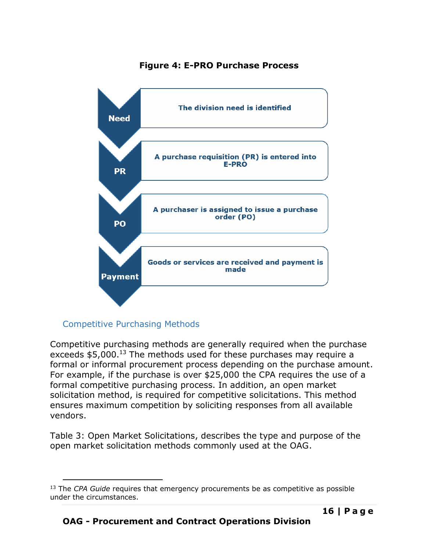### **Figure 4: E-PRO Purchase Process**

<span id="page-17-1"></span>

### <span id="page-17-0"></span>Competitive Purchasing Methods

Competitive purchasing methods are generally required when the purchase exceeds \$5,000.<sup>13</sup> The methods used for these purchases may require a formal or informal procurement process depending on the purchase amount. For example, if the purchase is over \$25,000 the CPA requires the use of a formal competitive purchasing process. In addition, an open market solicitation method, is required for competitive solicitations. This method ensures maximum competition by soliciting responses from all available vendors.

[Table 3: Open Market Solicitations,](#page-18-1) describes the type and purpose of the open market solicitation methods commonly used at the OAG.

<sup>13</sup> The *CPA Guide* requires that emergency procurements be as competitive as possible under the circumstances.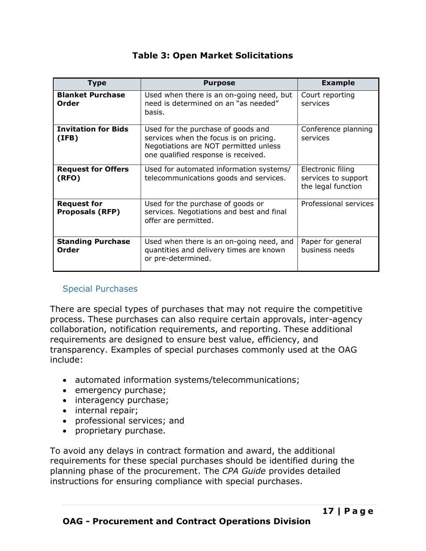### **Table 3: Open Market Solicitations**

<span id="page-18-1"></span>

| <b>Type</b>                                  | <b>Purpose</b>                                                                                                                                               | <b>Example</b>                                                 |
|----------------------------------------------|--------------------------------------------------------------------------------------------------------------------------------------------------------------|----------------------------------------------------------------|
| <b>Blanket Purchase</b><br>Order             | Used when there is an on-going need, but<br>need is determined on an "as needed"<br>basis.                                                                   | Court reporting<br>services                                    |
| <b>Invitation for Bids</b><br>(IFB)          | Used for the purchase of goods and<br>services when the focus is on pricing.<br>Negotiations are NOT permitted unless<br>one qualified response is received. | Conference planning<br>services                                |
| <b>Request for Offers</b><br>(RFO)           | Used for automated information systems/<br>telecommunications goods and services.                                                                            | Electronic filing<br>services to support<br>the legal function |
| <b>Request for</b><br><b>Proposals (RFP)</b> | Used for the purchase of goods or<br>services. Negotiations and best and final<br>offer are permitted.                                                       | Professional services                                          |
| <b>Standing Purchase</b><br>Order            | Used when there is an on-going need, and<br>quantities and delivery times are known<br>or pre-determined.                                                    | Paper for general<br>business needs                            |

### <span id="page-18-0"></span>Special Purchases

There are special types of purchases that may not require the competitive process. These purchases can also require certain approvals, inter-agency collaboration, notification requirements, and reporting. These additional requirements are designed to ensure best value, efficiency, and transparency. Examples of special purchases commonly used at the OAG include:

- automated information systems/telecommunications;
- emergency purchase;
- interagency purchase;
- internal repair;
- professional services; and
- proprietary purchase.

To avoid any delays in contract formation and award, the additional requirements for these special purchases should be identified during the planning phase of the procurement. The *CPA Guide* provides detailed instructions for ensuring compliance with special purchases.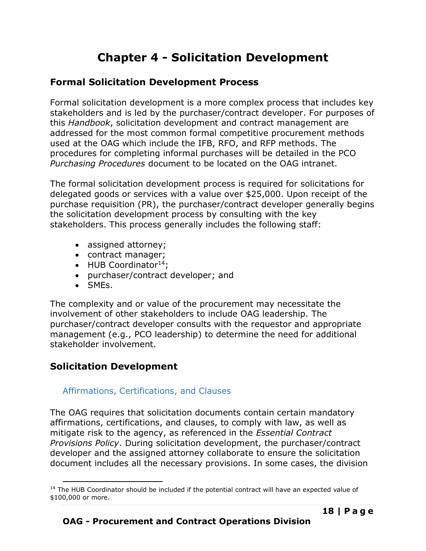# **Chapter 4 - Solicitation Development**

## <span id="page-19-1"></span><span id="page-19-0"></span>**Formal Solicitation Development Process**

Formal solicitation development is a more complex process that includes key stakeholders and is led by the purchaser/contract developer. For purposes of this *Handbook*, solicitation development and contract management are addressed for the most common formal competitive procurement methods used at the OAG which include the IFB, RFO, and RFP methods. The procedures for completing informal purchases will be detailed in the PCO *Purchasing Procedures* document to be located on the OAG intranet.

The formal solicitation development process is required for solicitations for delegated goods or services with a value over \$25,000. Upon receipt of the purchase requisition (PR), the purchaser/contract developer generally begins the solicitation development process by consulting with the key stakeholders. This process generally includes the following staff:

- assigned attorney;
- contract manager;
- $\bullet$  HUB Coordinator<sup>14</sup>;
- purchaser/contract developer; and
- SMEs.

The complexity and or value of the procurement may necessitate the involvement of other stakeholders to include OAG leadership. The purchaser/contract developer consults with the requestor and appropriate management (e.g., PCO leadership) to determine the need for additional stakeholder involvement.

# <span id="page-19-2"></span>**Solicitation Development**

### <span id="page-19-3"></span>Affirmations, Certifications, and Clauses

The OAG requires that solicitation documents contain certain mandatory affirmations, certifications, and clauses, to comply with law, as well as mitigate risk to the agency, as referenced in the *Essential Contract Provisions Policy*. During solicitation development, the purchaser/contract developer and the assigned attorney collaborate to ensure the solicitation document includes all the necessary provisions. In some cases, the division

 $14$  The HUB Coordinator should be included if the potential contract will have an expected value of \$100,000 or more.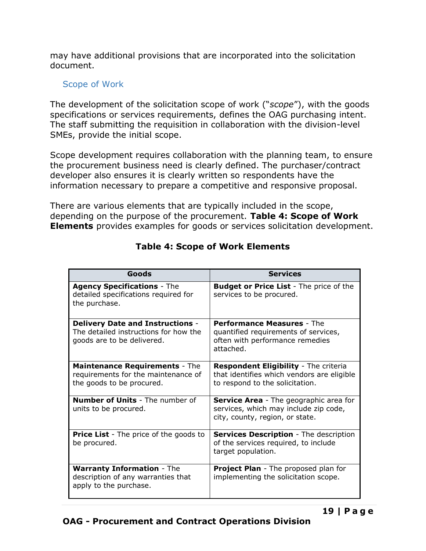may have additional provisions that are incorporated into the solicitation document.

### <span id="page-20-0"></span>Scope of Work

The development of the solicitation scope of work ("*scope*"), with the goods specifications or services requirements, defines the OAG purchasing intent. The staff submitting the requisition in collaboration with the division-level SMEs, provide the initial scope.

Scope development requires collaboration with the planning team, to ensure the procurement business need is clearly defined. The purchaser/contract developer also ensures it is clearly written so respondents have the information necessary to prepare a competitive and responsive proposal.

There are various elements that are typically included in the scope, depending on the purpose of the procurement. **[Table 4: Scope of Work](#page-20-1) [Elements](#page-20-1)** provides examples for goods or services solicitation development.

<span id="page-20-1"></span>

| Goods                                                                                                          | <b>Services</b>                                                                                                           |
|----------------------------------------------------------------------------------------------------------------|---------------------------------------------------------------------------------------------------------------------------|
| <b>Agency Specifications - The</b><br>detailed specifications required for<br>the purchase.                    | <b>Budget or Price List</b> - The price of the<br>services to be procured.                                                |
| <b>Delivery Date and Instructions -</b><br>The detailed instructions for how the<br>goods are to be delivered. | <b>Performance Measures - The</b><br>quantified requirements of services,<br>often with performance remedies<br>attached. |
| <b>Maintenance Requirements - The</b><br>requirements for the maintenance of<br>the goods to be procured.      | Respondent Eligibility - The criteria<br>that identifies which vendors are eligible<br>to respond to the solicitation.    |
| <b>Number of Units</b> - The number of<br>units to be procured.                                                | Service Area - The geographic area for<br>services, which may include zip code,<br>city, county, region, or state.        |
| <b>Price List</b> - The price of the goods to<br>be procured.                                                  | <b>Services Description - The description</b><br>of the services required, to include<br>target population.               |
| <b>Warranty Information - The</b><br>description of any warranties that<br>apply to the purchase.              | <b>Project Plan</b> - The proposed plan for<br>implementing the solicitation scope.                                       |

## **Table 4: Scope of Work Elements**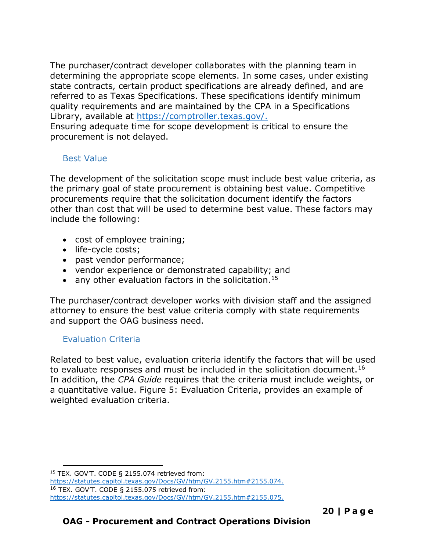The purchaser/contract developer collaborates with the planning team in determining the appropriate scope elements. In some cases, under existing state contracts, certain product specifications are already defined, and are referred to as Texas Specifications. These specifications identify minimum quality requirements and are maintained by the CPA in a Specifications Library, available at [https://comptroller.texas.gov/.](https://comptroller.texas.gov/)

Ensuring adequate time for scope development is critical to ensure the procurement is not delayed.

### <span id="page-21-0"></span>Best Value

The development of the solicitation scope must include best value criteria, as the primary goal of state procurement is obtaining best value. Competitive procurements require that the solicitation document identify the factors other than cost that will be used to determine best value. These factors may include the following:

- cost of employee training;
- life-cycle costs;
- past vendor performance;
- vendor experience or demonstrated capability; and
- any other evaluation factors in the solicitation.<sup>15</sup>

The purchaser/contract developer works with division staff and the assigned attorney to ensure the best value criteria comply with state requirements and support the OAG business need.

### <span id="page-21-1"></span>Evaluation Criteria

Related to best value, evaluation criteria identify the factors that will be used to evaluate responses and must be included in the solicitation document.<sup>16</sup> In addition, the *CPA Guide* requires that the criteria must include weights, or a quantitative value. [Figure 5: Evaluation Criteria,](#page-22-2) provides an example of weighted evaluation criteria.

<sup>15</sup> TEX. GOV'T. CODE § 2155.074 retrieved from:

[https://statutes.capitol.texas.gov/Docs/GV/htm/GV.2155.htm#2155.074.](https://statutes.capitol.texas.gov/Docs/GV/htm/GV.2155.htm#2155.074) <sup>16</sup> TEX. GOV'T. CODE § 2155.075 retrieved from:

https://statutes.capitol.texas.gov/Docs/GV/htm/GV.2155.htm#2155.075.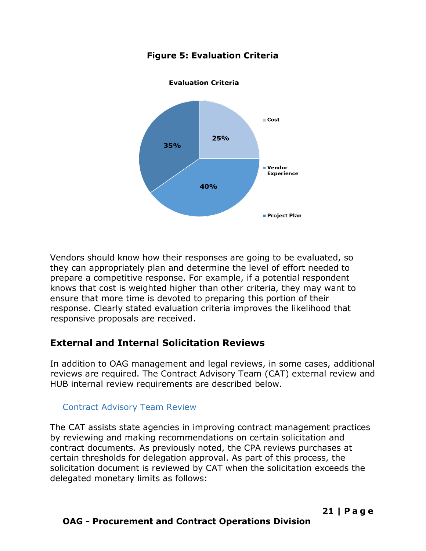<span id="page-22-2"></span>

## **Figure 5: Evaluation Criteria**

Vendors should know how their responses are going to be evaluated, so they can appropriately plan and determine the level of effort needed to prepare a competitive response. For example, if a potential respondent knows that cost is weighted higher than other criteria, they may want to ensure that more time is devoted to preparing this portion of their response. Clearly stated evaluation criteria improves the likelihood that responsive proposals are received.

# <span id="page-22-0"></span>**External and Internal Solicitation Reviews**

In addition to OAG management and legal reviews, in some cases, additional reviews are required. The Contract Advisory Team (CAT) external review and HUB internal review requirements are described below.

## <span id="page-22-1"></span>Contract Advisory Team Review

The CAT assists state agencies in improving contract management practices by reviewing and making recommendations on certain solicitation and contract documents. As previously noted, the CPA reviews purchases at certain thresholds for delegation approval. As part of this process, the solicitation document is reviewed by CAT when the solicitation exceeds the delegated monetary limits as follows: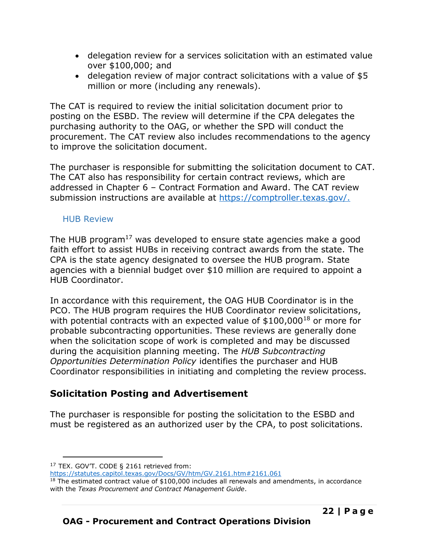- delegation review for a services solicitation with an estimated value over \$100,000; and
- delegation review of major contract solicitations with a value of \$5 million or more (including any renewals).

The CAT is required to review the initial solicitation document prior to posting on the ESBD. The review will determine if the CPA delegates the purchasing authority to the OAG, or whether the SPD will conduct the procurement. The CAT review also includes recommendations to the agency to improve the solicitation document.

The purchaser is responsible for submitting the solicitation document to CAT. The CAT also has responsibility for certain contract reviews, which are addressed in Chapter 6 – Contract Formation and Award. The CAT review submission instructions are available at [https://comptroller.texas.gov/.](https://comptroller.texas.gov/)

### <span id="page-23-0"></span>HUB Review

The HUB program<sup>17</sup> was developed to ensure state agencies make a good faith effort to assist HUBs in receiving contract awards from the state. The CPA is the state agency designated to oversee the HUB program. State agencies with a biennial budget over \$10 million are required to appoint a HUB Coordinator.

In accordance with this requirement, the OAG HUB Coordinator is in the PCO. The HUB program requires the HUB Coordinator review solicitations, with potential contracts with an expected value of  $$100,000^{18}$  or more for probable subcontracting opportunities. These reviews are generally done when the solicitation scope of work is completed and may be discussed during the acquisition planning meeting. The *HUB Subcontracting Opportunities Determination Policy* identifies the purchaser and HUB Coordinator responsibilities in initiating and completing the review process.

# <span id="page-23-1"></span>**Solicitation Posting and Advertisement**

The purchaser is responsible for posting the solicitation to the ESBD and must be registered as an authorized user by the CPA, to post solicitations.

<https://statutes.capitol.texas.gov/Docs/GV/htm/GV.2161.htm#2161.061>

<sup>&</sup>lt;sup>17</sup> TEX. GOV'T. CODE § 2161 retrieved from:

 $18$  The estimated contract value of \$100,000 includes all renewals and amendments, in accordance with the *Texas Procurement and Contract Management Guide*.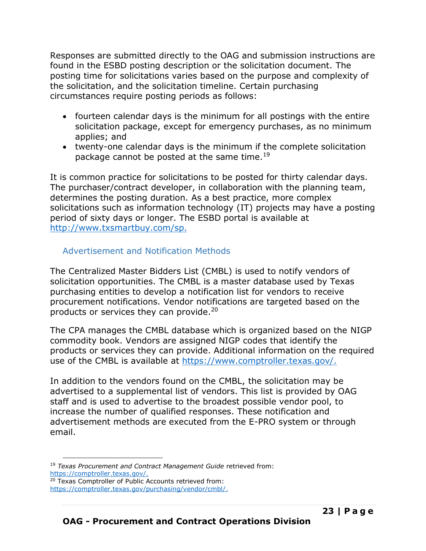Responses are submitted directly to the OAG and submission instructions are found in the ESBD posting description or the solicitation document. The posting time for solicitations varies based on the purpose and complexity of the solicitation, and the solicitation timeline. Certain purchasing circumstances require posting periods as follows:

- fourteen calendar days is the minimum for all postings with the entire solicitation package, except for emergency purchases, as no minimum applies; and
- twenty-one calendar days is the minimum if the complete solicitation package cannot be posted at the same time.<sup>19</sup>

It is common practice for solicitations to be posted for thirty calendar days. The purchaser/contract developer, in collaboration with the planning team, determines the posting duration. As a best practice, more complex solicitations such as information technology (IT) projects may have a posting period of sixty days or longer. The ESBD portal is available at [http://www.txsmartbuy.com/sp.](http://www.txsmartbuy.com/sp)

### <span id="page-24-0"></span>Advertisement and Notification Methods

The Centralized Master Bidders List (CMBL) is used to notify vendors of solicitation opportunities. The CMBL is a master database used by Texas purchasing entities to develop a notification list for vendors to receive procurement notifications. Vendor notifications are targeted based on the products or services they can provide.<sup>20</sup>

The CPA manages the CMBL database which is organized based on the NIGP commodity book. Vendors are assigned NIGP codes that identify the products or services they can provide. Additional information on the required use of the CMBL is available at [https://www.comptroller.texas.gov/.](https://www.comptroller.texas.gov/)

In addition to the vendors found on the CMBL, the solicitation may be advertised to a supplemental list of vendors. This list is provided by OAG staff and is used to advertise to the broadest possible vendor pool, to increase the number of qualified responses. These notification and advertisement methods are executed from the E-PRO system or through email.

<sup>19</sup> *Texas Procurement and Contract Management Guide* retrieved from: [https://comptroller.texas.gov/.](https://comptroller.texas.gov/) <sup>20</sup> Texas Comptroller of Public Accounts retrieved from:

[https://comptroller.texas.gov/purchasing/vendor/cmbl/.](https://comptroller.texas.gov/purchasing/vendor/cmbl/)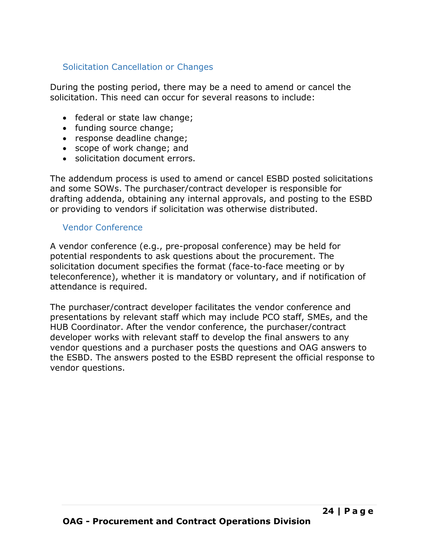### <span id="page-25-0"></span>Solicitation Cancellation or Changes

During the posting period, there may be a need to amend or cancel the solicitation. This need can occur for several reasons to include:

- federal or state law change;
- funding source change;
- response deadline change;
- scope of work change; and
- solicitation document errors.

The addendum process is used to amend or cancel ESBD posted solicitations and some SOWs. The purchaser/contract developer is responsible for drafting addenda, obtaining any internal approvals, and posting to the ESBD or providing to vendors if solicitation was otherwise distributed.

### <span id="page-25-1"></span>Vendor Conference

A vendor conference (e.g., pre-proposal conference) may be held for potential respondents to ask questions about the procurement. The solicitation document specifies the format (face-to-face meeting or by teleconference), whether it is mandatory or voluntary, and if notification of attendance is required.

The purchaser/contract developer facilitates the vendor conference and presentations by relevant staff which may include PCO staff, SMEs, and the HUB Coordinator. After the vendor conference, the purchaser/contract developer works with relevant staff to develop the final answers to any vendor questions and a purchaser posts the questions and OAG answers to the ESBD. The answers posted to the ESBD represent the official response to vendor questions.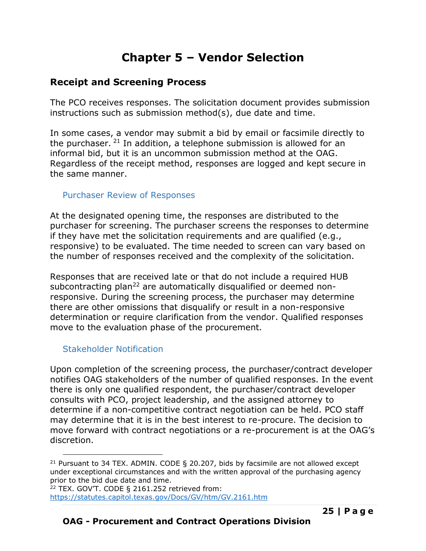# **Chapter 5 – Vendor Selection**

## <span id="page-26-1"></span><span id="page-26-0"></span>**Receipt and Screening Process**

The PCO receives responses. The solicitation document provides submission instructions such as submission method(s), due date and time.

In some cases, a vendor may submit a bid by email or facsimile directly to the purchaser.  $21$  In addition, a telephone submission is allowed for an informal bid, but it is an uncommon submission method at the OAG. Regardless of the receipt method, responses are logged and kept secure in the same manner.

### <span id="page-26-2"></span>Purchaser Review of Responses

At the designated opening time, the responses are distributed to the purchaser for screening. The purchaser screens the responses to determine if they have met the solicitation requirements and are qualified (e.g., responsive) to be evaluated. The time needed to screen can vary based on the number of responses received and the complexity of the solicitation.

Responses that are received late or that do not include a required HUB subcontracting plan<sup>22</sup> are automatically disqualified or deemed nonresponsive. During the screening process, the purchaser may determine there are other omissions that disqualify or result in a non-responsive determination or require clarification from the vendor. Qualified responses move to the evaluation phase of the procurement.

### <span id="page-26-3"></span>Stakeholder Notification

Upon completion of the screening process, the purchaser/contract developer notifies OAG stakeholders of the number of qualified responses. In the event there is only one qualified respondent, the purchaser/contract developer consults with PCO, project leadership, and the assigned attorney to determine if a non-competitive contract negotiation can be held. PCO staff may determine that it is in the best interest to re-procure. The decision to move forward with contract negotiations or a re-procurement is at the OAG's discretion.

<sup>&</sup>lt;sup>21</sup> Pursuant to 34 TEX. ADMIN. CODE § 20.207, bids by facsimile are not allowed except under exceptional circumstances and with the written approval of the purchasing agency prior to the bid due date and time.

<sup>22</sup> TEX. GOV'T. CODE § 2161.252 retrieved from:

<https://statutes.capitol.texas.gov/Docs/GV/htm/GV.2161.htm>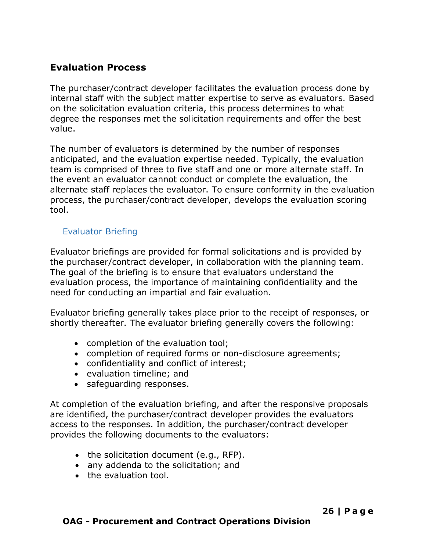## <span id="page-27-0"></span>**Evaluation Process**

The purchaser/contract developer facilitates the evaluation process done by internal staff with the subject matter expertise to serve as evaluators. Based on the solicitation evaluation criteria, this process determines to what degree the responses met the solicitation requirements and offer the best value.

The number of evaluators is determined by the number of responses anticipated, and the evaluation expertise needed. Typically, the evaluation team is comprised of three to five staff and one or more alternate staff. In the event an evaluator cannot conduct or complete the evaluation, the alternate staff replaces the evaluator. To ensure conformity in the evaluation process, the purchaser/contract developer, develops the evaluation scoring tool.

### <span id="page-27-1"></span>Evaluator Briefing

Evaluator briefings are provided for formal solicitations and is provided by the purchaser/contract developer, in collaboration with the planning team. The goal of the briefing is to ensure that evaluators understand the evaluation process, the importance of maintaining confidentiality and the need for conducting an impartial and fair evaluation.

Evaluator briefing generally takes place prior to the receipt of responses, or shortly thereafter. The evaluator briefing generally covers the following:

- completion of the evaluation tool;
- completion of required forms or non-disclosure agreements;
- confidentiality and conflict of interest;
- evaluation timeline; and
- safeguarding responses.

At completion of the evaluation briefing, and after the responsive proposals are identified, the purchaser/contract developer provides the evaluators access to the responses. In addition, the purchaser/contract developer provides the following documents to the evaluators:

- the solicitation document (e.g., RFP).
- any addenda to the solicitation; and
- the evaluation tool.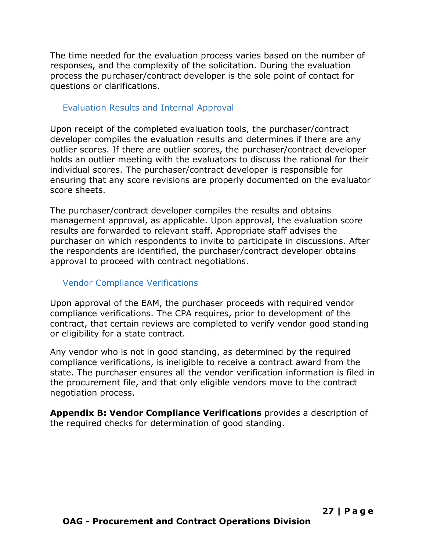The time needed for the evaluation process varies based on the number of responses, and the complexity of the solicitation. During the evaluation process the purchaser/contract developer is the sole point of contact for questions or clarifications.

### <span id="page-28-0"></span>Evaluation Results and Internal Approval

Upon receipt of the completed evaluation tools, the purchaser/contract developer compiles the evaluation results and determines if there are any outlier scores. If there are outlier scores, the purchaser/contract developer holds an outlier meeting with the evaluators to discuss the rational for their individual scores. The purchaser/contract developer is responsible for ensuring that any score revisions are properly documented on the evaluator score sheets.

The purchaser/contract developer compiles the results and obtains management approval, as applicable. Upon approval, the evaluation score results are forwarded to relevant staff. Appropriate staff advises the purchaser on which respondents to invite to participate in discussions. After the respondents are identified, the purchaser/contract developer obtains approval to proceed with contract negotiations.

### <span id="page-28-1"></span>Vendor Compliance Verifications

Upon approval of the EAM, the purchaser proceeds with required vendor compliance verifications. The CPA requires, prior to development of the contract, that certain reviews are completed to verify vendor good standing or eligibility for a state contract.

Any vendor who is not in good standing, as determined by the required compliance verifications, is ineligible to receive a contract award from the state. The purchaser ensures all the vendor verification information is filed in the procurement file, and that only eligible vendors move to the contract negotiation process.

**Appendix B: Vendor Compliance Verifications** provides a description of the required checks for determination of good standing.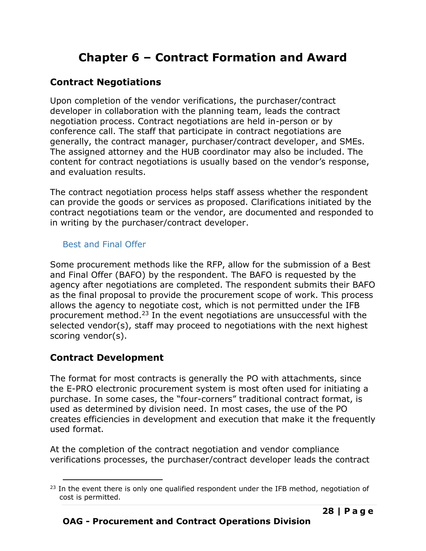# **Chapter 6 – Contract Formation and Award**

# <span id="page-29-1"></span><span id="page-29-0"></span>**Contract Negotiations**

Upon completion of the vendor verifications, the purchaser/contract developer in collaboration with the planning team, leads the contract negotiation process. Contract negotiations are held in-person or by conference call. The staff that participate in contract negotiations are generally, the contract manager, purchaser/contract developer, and SMEs. The assigned attorney and the HUB coordinator may also be included. The content for contract negotiations is usually based on the vendor's response, and evaluation results.

The contract negotiation process helps staff assess whether the respondent can provide the goods or services as proposed. Clarifications initiated by the contract negotiations team or the vendor, are documented and responded to in writing by the purchaser/contract developer.

## <span id="page-29-2"></span>Best and Final Offer

Some procurement methods like the RFP, allow for the submission of a Best and Final Offer (BAFO) by the respondent. The BAFO is requested by the agency after negotiations are completed. The respondent submits their BAFO as the final proposal to provide the procurement scope of work. This process allows the agency to negotiate cost, which is not permitted under the IFB procurement method.<sup>23</sup> In the event negotiations are unsuccessful with the selected vendor(s), staff may proceed to negotiations with the next highest scoring vendor(s).

# <span id="page-29-3"></span>**Contract Development**

The format for most contracts is generally the PO with attachments, since the E-PRO electronic procurement system is most often used for initiating a purchase. In some cases, the "four-corners" traditional contract format, is used as determined by division need. In most cases, the use of the PO creates efficiencies in development and execution that make it the frequently used format.

At the completion of the contract negotiation and vendor compliance verifications processes, the purchaser/contract developer leads the contract

 $23$  In the event there is only one qualified respondent under the IFB method, negotiation of cost is permitted.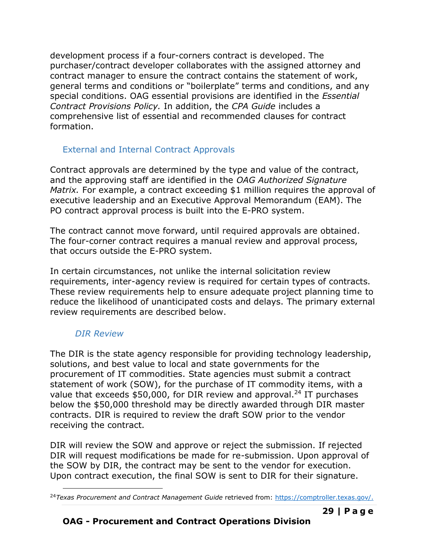development process if a four-corners contract is developed. The purchaser/contract developer collaborates with the assigned attorney and contract manager to ensure the contract contains the statement of work, general terms and conditions or "boilerplate" terms and conditions, and any special conditions. OAG essential provisions are identified in the *Essential Contract Provisions Policy.* In addition, the *CPA Guide* includes a comprehensive list of essential and recommended clauses for contract formation.

## <span id="page-30-0"></span>External and Internal Contract Approvals

Contract approvals are determined by the type and value of the contract, and the approving staff are identified in the *OAG Authorized Signature Matrix.* For example, a contract exceeding \$1 million requires the approval of executive leadership and an Executive Approval Memorandum (EAM). The PO contract approval process is built into the E-PRO system.

The contract cannot move forward, until required approvals are obtained. The four-corner contract requires a manual review and approval process, that occurs outside the E-PRO system.

In certain circumstances, not unlike the internal solicitation review requirements, inter-agency review is required for certain types of contracts. These review requirements help to ensure adequate project planning time to reduce the likelihood of unanticipated costs and delays. The primary external review requirements are described below.

## *DIR Review*

The DIR is the state agency responsible for providing technology leadership, solutions, and best value to local and state governments for the procurement of IT commodities. State agencies must submit a contract statement of work (SOW), for the purchase of IT commodity items, with a value that exceeds  $$50,000$ , for DIR review and approval.<sup>24</sup> IT purchases below the \$50,000 threshold may be directly awarded through DIR master contracts. DIR is required to review the draft SOW prior to the vendor receiving the contract.

DIR will review the SOW and approve or reject the submission. If rejected DIR will request modifications be made for re-submission. Upon approval of the SOW by DIR, the contract may be sent to the vendor for execution. Upon contract execution, the final SOW is sent to DIR for their signature.

<sup>24</sup>*Texas Procurement and Contract Management Guide* retrieved from: [https://comptroller.texas.gov/.](https://comptroller.texas.gov/)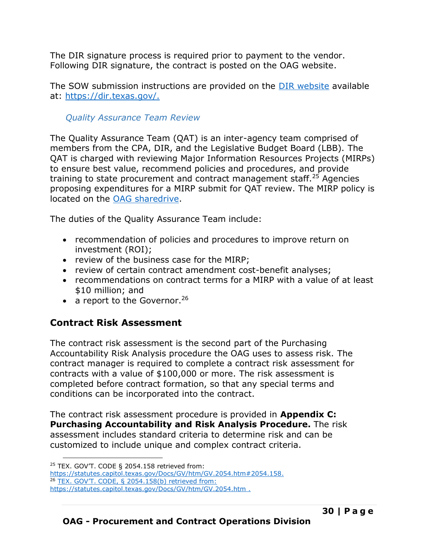The DIR signature process is required prior to payment to the vendor. Following DIR signature, the contract is posted on the OAG website.

The SOW submission instructions are provided on the [DIR website](http://dir.texas.gov/View-Search/Generic.aspx?keyword=SOW%20review) available at: [https://dir.texas.gov/.](https://dir.texas.gov/)

### *Quality Assurance Team Review*

The Quality Assurance Team (QAT) is an inter-agency team comprised of members from the CPA, DIR, and the Legislative Budget Board (LBB). The QAT is charged with reviewing Major Information Resources Projects (MIRPs) to ensure best value, recommend policies and procedures, and provide training to state procurement and contract management staff.<sup>25</sup> Agencies proposing expenditures for a MIRP submit for QAT review. The MIRP policy is located on the [OAG sharedrive.](https://txoag.sharepoint.com/:w:/s/divisions/EZHnlsg1FDNConXR0bAcRg8BoNTBMutlwuoQ7y2aRTNgzg?e=CBrWsc)

The duties of the Quality Assurance Team include:

- recommendation of policies and procedures to improve return on investment (ROI);
- review of the business case for the MIRP;
- review of certain contract amendment cost-benefit analyses;
- recommendations on contract terms for a MIRP with a value of at least \$10 million; and
- a report to the Governor.<sup>26</sup>

## <span id="page-31-0"></span>**Contract Risk Assessment**

The contract risk assessment is the second part of the Purchasing Accountability Risk Analysis procedure the OAG uses to assess risk. The contract manager is required to complete a contract risk assessment for contracts with a value of \$100,000 or more. The risk assessment is completed before contract formation, so that any special terms and conditions can be incorporated into the contract.

The contract risk assessment procedure is provided in **Appendix C: Purchasing Accountability and Risk Analysis Procedure.** The risk assessment includes standard criteria to determine risk and can be customized to include unique and complex contract criteria.

 $25$  TEX. GOVT. CODE § 2054.158 retrieved from:

[https://statutes.capitol.texas.gov/Docs/GV/htm/GV.2054.htm#2054.158.](https://statutes.capitol.texas.gov/Docs/GV/htm/GV.2054.htm#2054.158) <sup>26</sup> TEX. GOV'T. CODE, § 2054.158(b) retrieved from: https://statutes.capitol.texas.gov/Docs/GV/htm/GV.2054.htm .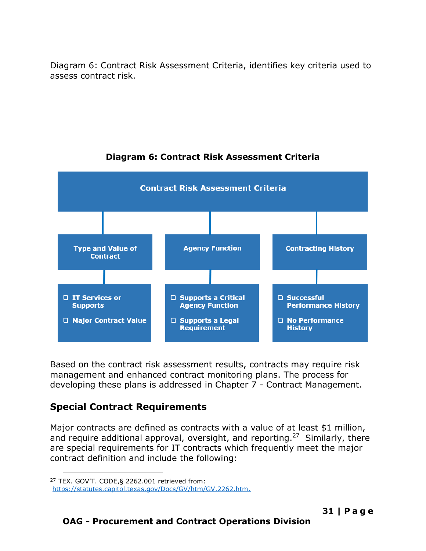Diagram 6: Contract Risk Assessment Criteria, identifies key criteria used to assess contract risk.



## **Diagram 6: Contract Risk Assessment Criteria**

Based on the contract risk assessment results, contracts may require risk management and enhanced contract monitoring plans. The process for developing these plans is addressed in Chapter 7 - Contract Management.

# <span id="page-32-0"></span>**Special Contract Requirements**

Major contracts are defined as contracts with a value of at least \$1 million, and require additional approval, oversight, and reporting.<sup>27</sup> Similarly, there are special requirements for IT contracts which frequently meet the major contract definition and include the following:

<sup>27</sup> TEX. GOV'T. CODE,§ 2262.001 retrieved from:

[https://statutes.capitol.texas.gov/Docs/GV/htm/GV.2262.htm.](https://statutes.capitol.texas.gov/Docs/GV/htm/GV.2262.htm)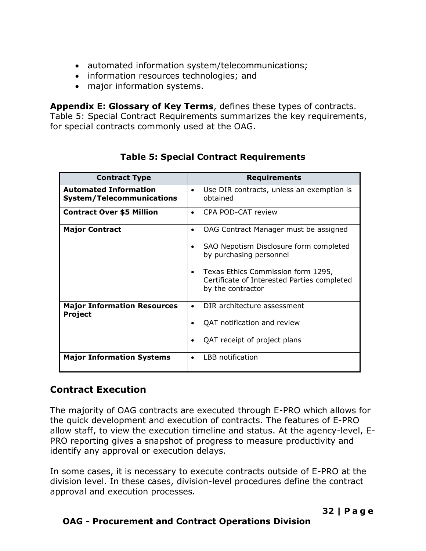- automated information system/telecommunications;
- information resources technologies; and
- major information systems.

**Appendix E: Glossary of Key Terms**, defines these types of contracts. Table 5: Special Contract Requirements summarizes the key requirements, for special contracts commonly used at the OAG.

| <b>Contract Type</b>                                             | <b>Requirements</b>                                                                                    |
|------------------------------------------------------------------|--------------------------------------------------------------------------------------------------------|
| <b>Automated Information</b><br><b>System/Telecommunications</b> | Use DIR contracts, unless an exemption is<br>$\bullet$<br>obtained                                     |
| <b>Contract Over \$5 Million</b>                                 | CPA POD-CAT review                                                                                     |
| <b>Major Contract</b>                                            | OAG Contract Manager must be assigned                                                                  |
|                                                                  | SAO Nepotism Disclosure form completed<br>by purchasing personnel                                      |
|                                                                  | Texas Ethics Commission form 1295,<br>Certificate of Interested Parties completed<br>by the contractor |
| <b>Major Information Resources</b><br>Project                    | DIR architecture assessment<br>$\bullet$                                                               |
|                                                                  | QAT notification and review                                                                            |
|                                                                  | QAT receipt of project plans                                                                           |
| <b>Major Information Systems</b>                                 | LBB notification                                                                                       |

# **Table 5: Special Contract Requirements**

# <span id="page-33-0"></span>**Contract Execution**

The majority of OAG contracts are executed through E-PRO which allows for the quick development and execution of contracts. The features of E-PRO allow staff, to view the execution timeline and status. At the agency-level, E-PRO reporting gives a snapshot of progress to measure productivity and identify any approval or execution delays.

In some cases, it is necessary to execute contracts outside of E-PRO at the division level. In these cases, division-level procedures define the contract approval and execution processes.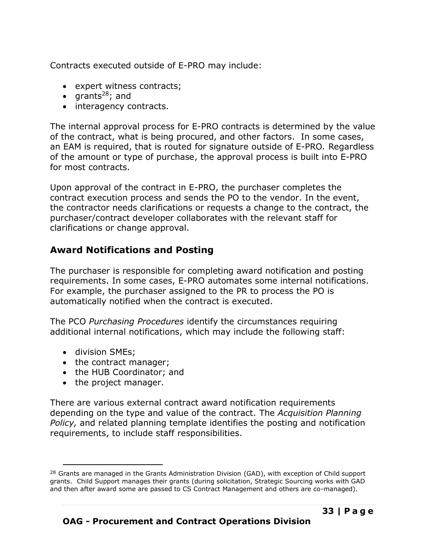Contracts executed outside of E-PRO may include:

- expert witness contracts;
- $grants^{28}$ ; and
- interagency contracts.

The internal approval process for E-PRO contracts is determined by the value of the contract, what is being procured, and other factors. In some cases, an EAM is required, that is routed for signature outside of E-PRO*.* Regardless of the amount or type of purchase, the approval process is built into E-PRO for most contracts.

Upon approval of the contract in E-PRO, the purchaser completes the contract execution process and sends the PO to the vendor. In the event, the contractor needs clarifications or requests a change to the contract, the purchaser/contract developer collaborates with the relevant staff for clarifications or change approval.

# <span id="page-34-0"></span>**Award Notifications and Posting**

The purchaser is responsible for completing award notification and posting requirements. In some cases, E-PRO automates some internal notifications. For example, the purchaser assigned to the PR to process the PO is automatically notified when the contract is executed.

The PCO *Purchasing Procedures* identify the circumstances requiring additional internal notifications, which may include the following staff:

- division SMEs;
- the contract manager;
- the HUB Coordinator; and
- the project manager.

There are various external contract award notification requirements depending on the type and value of the contract. The *Acquisition Planning Policy,* and related planning template identifies the posting and notification requirements, to include staff responsibilities.

<sup>&</sup>lt;sup>28</sup> Grants are managed in the Grants Administration Division (GAD), with exception of Child support grants. Child Support manages their grants (during solicitation, Strategic Sourcing works with GAD and then after award some are passed to CS Contract Management and others are co-managed).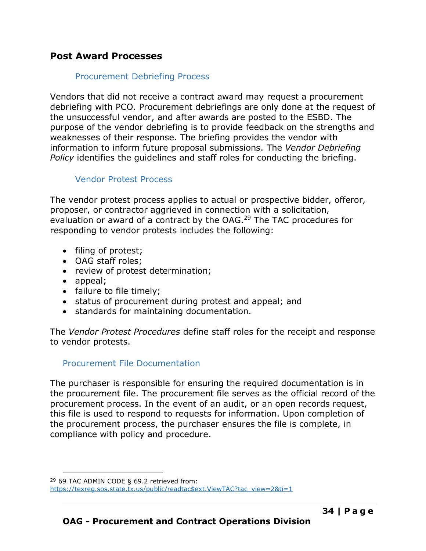### <span id="page-35-1"></span><span id="page-35-0"></span>**Post Award Processes**

### Procurement Debriefing Process

Vendors that did not receive a contract award may request a procurement debriefing with PCO. Procurement debriefings are only done at the request of the unsuccessful vendor, and after awards are posted to the ESBD. The purpose of the vendor debriefing is to provide feedback on the strengths and weaknesses of their response. The briefing provides the vendor with information to inform future proposal submissions. The *Vendor Debriefing Policy* identifies the guidelines and staff roles for conducting the briefing.

### Vendor Protest Process

<span id="page-35-2"></span>The vendor protest process applies to actual or prospective bidder, offeror, proposer, or contractor aggrieved in connection with a solicitation, evaluation or award of a contract by the OAG.<sup>29</sup> The TAC procedures for responding to vendor protests includes the following:

- filing of protest;
- OAG staff roles;
- review of protest determination;
- appeal;
- failure to file timely;
- status of procurement during protest and appeal; and
- standards for maintaining documentation.

The *Vendor Protest Procedures* define staff roles for the receipt and response to vendor protests.

### <span id="page-35-3"></span>Procurement File Documentation

The purchaser is responsible for ensuring the required documentation is in the procurement file. The procurement file serves as the official record of the procurement process. In the event of an audit, or an open records request, this file is used to respond to requests for information. Upon completion of the procurement process, the purchaser ensures the file is complete, in compliance with policy and procedure.

 $29$  69 TAC ADMIN CODE § 69.2 retrieved from: [https://texreg.sos.state.tx.us/public/readtac\\$ext.ViewTAC?tac\\_view=2&ti=1](https://texreg.sos.state.tx.us/public/readtac$ext.ViewTAC?tac_view=2&ti=1)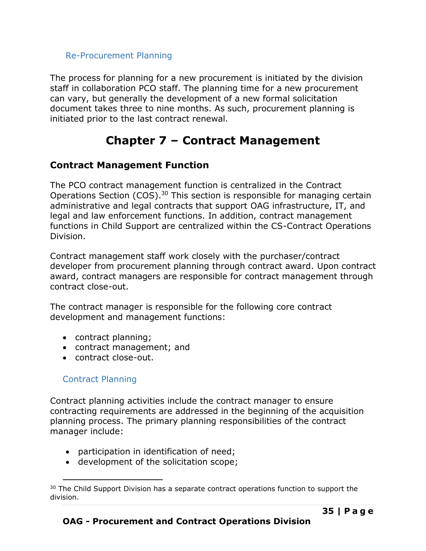### <span id="page-36-0"></span>Re-Procurement Planning

The process for planning for a new procurement is initiated by the division staff in collaboration PCO staff. The planning time for a new procurement can vary, but generally the development of a new formal solicitation document takes three to nine months. As such, procurement planning is initiated prior to the last contract renewal.

# **Chapter 7 – Contract Management**

## <span id="page-36-2"></span><span id="page-36-1"></span>**Contract Management Function**

The PCO contract management function is centralized in the Contract Operations Section (COS).<sup>30</sup> This section is responsible for managing certain administrative and legal contracts that support OAG infrastructure, IT, and legal and law enforcement functions. In addition, contract management functions in Child Support are centralized within the CS-Contract Operations Division.

Contract management staff work closely with the purchaser/contract developer from procurement planning through contract award. Upon contract award, contract managers are responsible for contract management through contract close-out.

The contract manager is responsible for the following core contract development and management functions:

- contract planning;
- contract management; and
- contract close-out.

### <span id="page-36-3"></span>Contract Planning

Contract planning activities include the contract manager to ensure contracting requirements are addressed in the beginning of the acquisition planning process. The primary planning responsibilities of the contract manager include:

- participation in identification of need;
- development of the solicitation scope;

<sup>&</sup>lt;sup>30</sup> The Child Support Division has a separate contract operations function to support the division.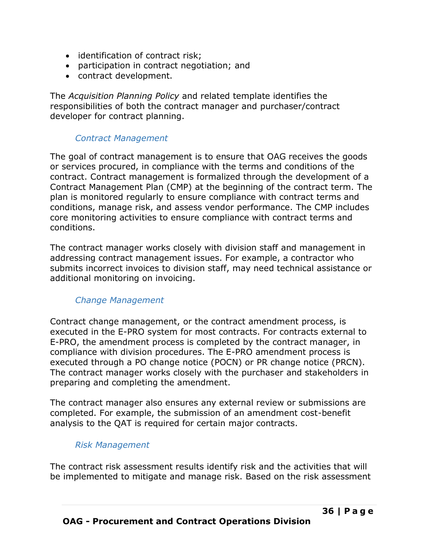- identification of contract risk;
- participation in contract negotiation; and
- contract development.

The *Acquisition Planning Policy* and related template identifies the responsibilities of both the contract manager and purchaser/contract developer for contract planning.

### *Contract Management*

The goal of contract management is to ensure that OAG receives the goods or services procured, in compliance with the terms and conditions of the contract. Contract management is formalized through the development of a Contract Management Plan (CMP) at the beginning of the contract term. The plan is monitored regularly to ensure compliance with contract terms and conditions, manage risk, and assess vendor performance. The CMP includes core monitoring activities to ensure compliance with contract terms and conditions.

The contract manager works closely with division staff and management in addressing contract management issues. For example, a contractor who submits incorrect invoices to division staff, may need technical assistance or additional monitoring on invoicing.

### *Change Management*

Contract change management, or the contract amendment process, is executed in the E-PRO system for most contracts. For contracts external to E-PRO, the amendment process is completed by the contract manager, in compliance with division procedures. The E-PRO amendment process is executed through a PO change notice (POCN) or PR change notice (PRCN). The contract manager works closely with the purchaser and stakeholders in preparing and completing the amendment.

The contract manager also ensures any external review or submissions are completed. For example, the submission of an amendment cost-benefit analysis to the QAT is required for certain major contracts.

### *Risk Management*

The contract risk assessment results identify risk and the activities that will be implemented to mitigate and manage risk. Based on the risk assessment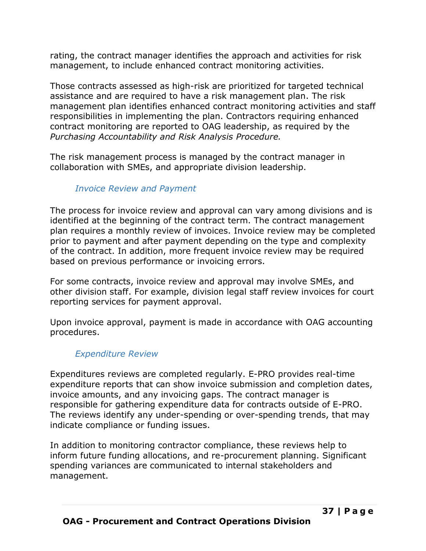rating, the contract manager identifies the approach and activities for risk management, to include enhanced contract monitoring activities.

Those contracts assessed as high-risk are prioritized for targeted technical assistance and are required to have a risk management plan. The risk management plan identifies enhanced contract monitoring activities and staff responsibilities in implementing the plan. Contractors requiring enhanced contract monitoring are reported to OAG leadership, as required by the *Purchasing Accountability and Risk Analysis Procedure.*

The risk management process is managed by the contract manager in collaboration with SMEs, and appropriate division leadership.

### *Invoice Review and Payment*

The process for invoice review and approval can vary among divisions and is identified at the beginning of the contract term. The contract management plan requires a monthly review of invoices. Invoice review may be completed prior to payment and after payment depending on the type and complexity of the contract. In addition, more frequent invoice review may be required based on previous performance or invoicing errors.

For some contracts, invoice review and approval may involve SMEs, and other division staff. For example, division legal staff review invoices for court reporting services for payment approval.

Upon invoice approval, payment is made in accordance with OAG accounting procedures.

### *Expenditure Review*

Expenditures reviews are completed regularly. E-PRO provides real-time expenditure reports that can show invoice submission and completion dates, invoice amounts, and any invoicing gaps. The contract manager is responsible for gathering expenditure data for contracts outside of E-PRO. The reviews identify any under-spending or over-spending trends, that may indicate compliance or funding issues.

In addition to monitoring contractor compliance, these reviews help to inform future funding allocations, and re-procurement planning. Significant spending variances are communicated to internal stakeholders and management.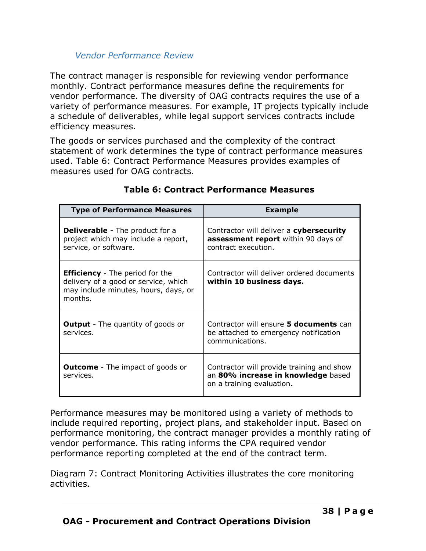### *Vendor Performance Review*

<span id="page-39-0"></span>The contract manager is responsible for reviewing vendor performance monthly. Contract performance measures define the requirements for vendor performance. The diversity of OAG contracts requires the use of a variety of performance measures. For example, IT projects typically include a schedule of deliverables, while legal support services contracts include efficiency measures.

The goods or services purchased and the complexity of the contract statement of work determines the type of contract performance measures used. Table 6: Contract Performance Measures provides examples of measures used for OAG contracts.

| <b>Type of Performance Measures</b>                                                                                               | <b>Example</b>                                                                                               |
|-----------------------------------------------------------------------------------------------------------------------------------|--------------------------------------------------------------------------------------------------------------|
| <b>Deliverable</b> - The product for a<br>project which may include a report,<br>service, or software.                            | Contractor will deliver a cybersecurity<br>assessment report within 90 days of<br>contract execution.        |
| <b>Efficiency</b> - The period for the<br>delivery of a good or service, which<br>may include minutes, hours, days, or<br>months. | Contractor will deliver ordered documents<br>within 10 business days.                                        |
| <b>Output</b> - The quantity of goods or<br>services.                                                                             | Contractor will ensure 5 documents can<br>be attached to emergency notification<br>communications.           |
| <b>Outcome</b> - The impact of goods or<br>services.                                                                              | Contractor will provide training and show<br>an 80% increase in knowledge based<br>on a training evaluation. |

### **Table 6: Contract Performance Measures**

Performance measures may be monitored using a variety of methods to include required reporting, project plans, and stakeholder input. Based on performance monitoring, the contract manager provides a monthly rating of vendor performance. This rating informs the CPA required vendor performance reporting completed at the end of the contract term.

Diagram 7: Contract Monitoring Activities illustrates the core monitoring activities.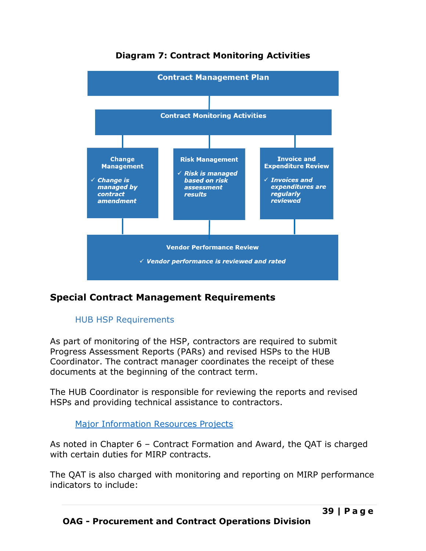

# **Diagram 7: Contract Monitoring Activities**

# <span id="page-40-1"></span><span id="page-40-0"></span>**Special Contract Management Requirements**

### HUB HSP Requirements

As part of monitoring of the HSP, contractors are required to submit Progress Assessment Reports (PARs) and revised HSPs to the HUB Coordinator. The contract manager coordinates the receipt of these documents at the beginning of the contract term.

The HUB Coordinator is responsible for reviewing the reports and revised HSPs and providing technical assistance to contractors.

### **[Major Information Resources Projects](https://txoag.sharepoint.com/:w:/s/divisions/EZHnlsg1FDNConXR0bAcRg8BoNTBMutlwuoQ7y2aRTNgzg?e=CBrWsc)**

<span id="page-40-2"></span>As noted in Chapter 6 – Contract Formation and Award, the QAT is charged with certain duties for MIRP contracts.

The QAT is also charged with monitoring and reporting on MIRP performance indicators to include: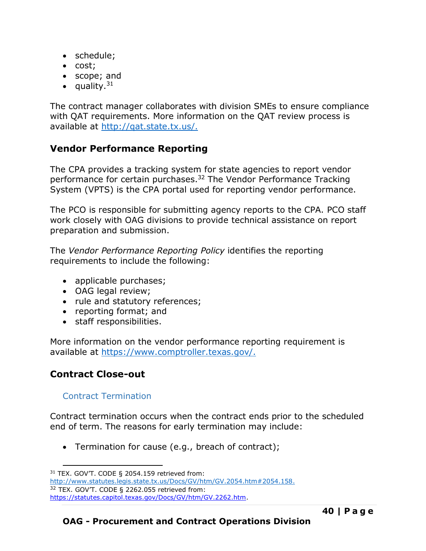- schedule;
- cost;
- scope; and
- quality. $31$

The contract manager collaborates with division SMEs to ensure compliance with QAT requirements. More information on the QAT review process is available at [http://qat.state.tx.us/.](http://qat.state.tx.us/)

## <span id="page-41-0"></span>**Vendor Performance Reporting**

The CPA provides a tracking system for state agencies to report vendor performance for certain purchases.<sup>32</sup> The Vendor Performance Tracking System (VPTS) is the CPA portal used for reporting vendor performance.

The PCO is responsible for submitting agency reports to the CPA. PCO staff work closely with OAG divisions to provide technical assistance on report preparation and submission.

The *Vendor Performance Reporting Policy* identifies the reporting requirements to include the following:

- applicable purchases;
- OAG legal review:
- rule and statutory references;
- reporting format; and
- staff responsibilities.

More information on the vendor performance reporting requirement is available at [https://www.comptroller.texas.gov/.](https://www.comptroller.texas.gov/)

## <span id="page-41-1"></span>**Contract Close-out**

### <span id="page-41-2"></span>Contract Termination

Contract termination occurs when the contract ends prior to the scheduled end of term. The reasons for early termination may include:

• Termination for cause (e.g., breach of contract);

<sup>31</sup> TEX. GOV'T. CODE § 2054.159 retrieved from:

[http://www.statutes.legis.state.tx.us/Docs/GV/htm/GV.2054.htm#2054.158.](http://www.statutes.legis.state.tx.us/Docs/GV/htm/GV.2054.htm#2054.158)

<sup>32</sup> TEX. GOV'T. CODE § 2262.055 retrieved from:

[https://statutes.capitol.texas.gov/Docs/GV/htm/GV.2262.htm.](https://statutes.capitol.texas.gov/Docs/GV/htm/GV.2262.htm)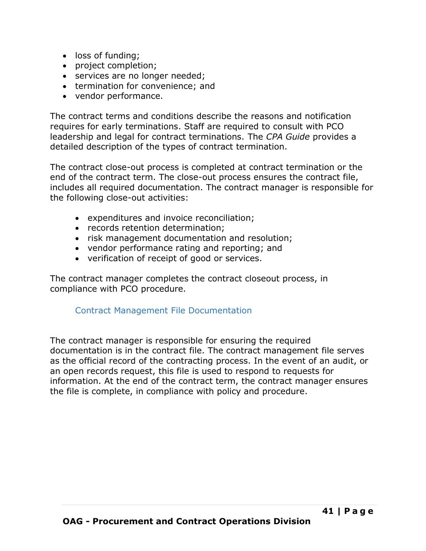- loss of funding;
- project completion;
- services are no longer needed;
- termination for convenience; and
- vendor performance.

The contract terms and conditions describe the reasons and notification requires for early terminations. Staff are required to consult with PCO leadership and legal for contract terminations. The *CPA Guide* provides a detailed description of the types of contract termination.

The contract close-out process is completed at contract termination or the end of the contract term. The close-out process ensures the contract file, includes all required documentation. The contract manager is responsible for the following close-out activities:

- expenditures and invoice reconciliation;
- records retention determination;
- risk management documentation and resolution;
- vendor performance rating and reporting; and
- verification of receipt of good or services.

The contract manager completes the contract closeout process, in compliance with PCO procedure.

### <span id="page-42-0"></span>Contract Management File Documentation

The contract manager is responsible for ensuring the required documentation is in the contract file. The contract management file serves as the official record of the contracting process. In the event of an audit, or an open records request, this file is used to respond to requests for information. At the end of the contract term, the contract manager ensures the file is complete, in compliance with policy and procedure.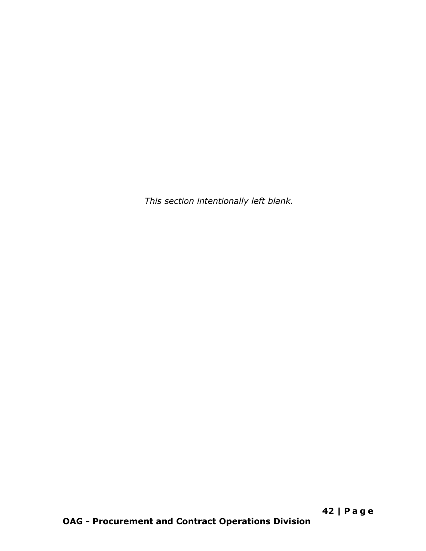*This section intentionally left blank.*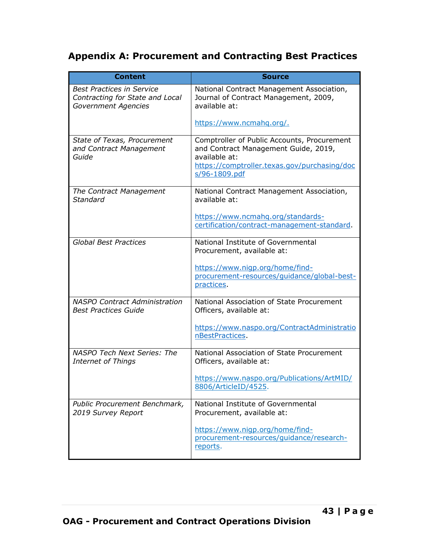# <span id="page-44-0"></span>**Appendix A: Procurement and Contracting Best Practices**

| <b>Content</b>                                                                             | <b>Source</b>                                                                                                                                                         |
|--------------------------------------------------------------------------------------------|-----------------------------------------------------------------------------------------------------------------------------------------------------------------------|
| <b>Best Practices in Service</b><br>Contracting for State and Local<br>Government Agencies | National Contract Management Association,<br>Journal of Contract Management, 2009,<br>available at:                                                                   |
|                                                                                            | https://www.ncmahq.org/.                                                                                                                                              |
| State of Texas, Procurement<br>and Contract Management<br>Guide                            | Comptroller of Public Accounts, Procurement<br>and Contract Management Guide, 2019,<br>available at:<br>https://comptroller.texas.gov/purchasing/doc<br>s/96-1809.pdf |
| The Contract Management<br>Standard                                                        | National Contract Management Association,<br>available at:                                                                                                            |
|                                                                                            | https://www.ncmahq.org/standards-<br>certification/contract-management-standard.                                                                                      |
| <b>Global Best Practices</b>                                                               | National Institute of Governmental<br>Procurement, available at:                                                                                                      |
|                                                                                            | https://www.nigp.org/home/find-<br>procurement-resources/guidance/global-best-<br>practices.                                                                          |
| <b>NASPO Contract Administration</b><br><b>Best Practices Guide</b>                        | National Association of State Procurement<br>Officers, available at:                                                                                                  |
|                                                                                            | https://www.naspo.org/ContractAdministratio<br>nBestPractices.                                                                                                        |
| NASPO Tech Next Series: The<br><b>Internet of Things</b>                                   | National Association of State Procurement<br>Officers, available at:                                                                                                  |
|                                                                                            | https://www.naspo.org/Publications/ArtMID/<br>8806/ArticleID/4525.                                                                                                    |
| Public Procurement Benchmark,<br>2019 Survey Report                                        | National Institute of Governmental<br>Procurement, available at:                                                                                                      |
|                                                                                            | https://www.nigp.org/home/find-<br>procurement-resources/quidance/research-<br>reports.                                                                               |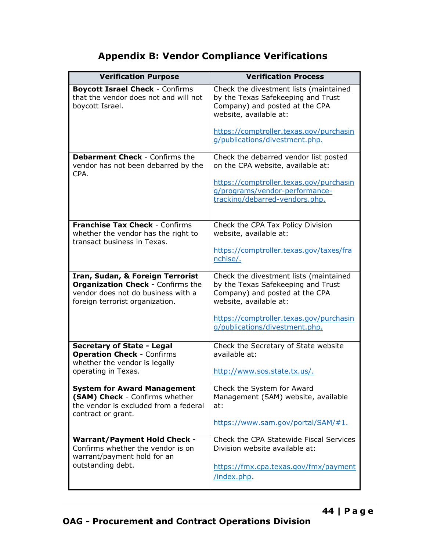# **Appendix B: Vendor Compliance Verifications**

<span id="page-45-0"></span>

| <b>Verification Purpose</b>                                                                                                                           | <b>Verification Process</b>                                                                                                                                                                                           |
|-------------------------------------------------------------------------------------------------------------------------------------------------------|-----------------------------------------------------------------------------------------------------------------------------------------------------------------------------------------------------------------------|
| <b>Boycott Israel Check - Confirms</b><br>that the vendor does not and will not<br>boycott Israel.                                                    | Check the divestment lists (maintained<br>by the Texas Safekeeping and Trust<br>Company) and posted at the CPA<br>website, available at:                                                                              |
|                                                                                                                                                       | https://comptroller.texas.gov/purchasin<br>g/publications/divestment.php.                                                                                                                                             |
| <b>Debarment Check - Confirms the</b><br>vendor has not been debarred by the<br>CPA.                                                                  | Check the debarred vendor list posted<br>on the CPA website, available at:                                                                                                                                            |
|                                                                                                                                                       | https://comptroller.texas.gov/purchasin<br>g/programs/vendor-performance-<br>tracking/debarred-vendors.php.                                                                                                           |
| <b>Franchise Tax Check - Confirms</b><br>whether the vendor has the right to<br>transact business in Texas.                                           | Check the CPA Tax Policy Division<br>website, available at:<br>https://comptroller.texas.gov/taxes/fra<br>nchise/.                                                                                                    |
| Iran, Sudan, & Foreign Terrorist<br><b>Organization Check - Confirms the</b><br>vendor does not do business with a<br>foreign terrorist organization. | Check the divestment lists (maintained<br>by the Texas Safekeeping and Trust<br>Company) and posted at the CPA<br>website, available at:<br>https://comptroller.texas.gov/purchasin<br>g/publications/divestment.php. |
| <b>Secretary of State - Legal</b><br><b>Operation Check - Confirms</b><br>whether the vendor is legally<br>operating in Texas.                        | Check the Secretary of State website<br>available at:<br>http://www.sos.state.tx.us/.                                                                                                                                 |
| <b>System for Award Management</b><br>(SAM) Check - Confirms whether<br>the vendor is excluded from a federal<br>contract or grant.                   | Check the System for Award<br>Management (SAM) website, available<br>at:<br>https://www.sam.gov/portal/SAM/#1.                                                                                                        |
| <b>Warrant/Payment Hold Check -</b><br>Confirms whether the vendor is on<br>warrant/payment hold for an<br>outstanding debt.                          | Check the CPA Statewide Fiscal Services<br>Division website available at:<br>https://fmx.cpa.texas.gov/fmx/payment                                                                                                    |
|                                                                                                                                                       | /index.php.                                                                                                                                                                                                           |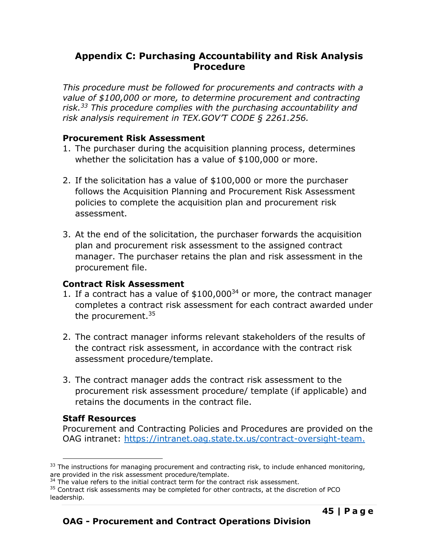## <span id="page-46-0"></span>**Appendix C: Purchasing Accountability and Risk Analysis Procedure**

*This procedure must be followed for procurements and contracts with a value of \$100,000 or more, to determine procurement and contracting risk.<sup>33</sup> This procedure complies with the purchasing accountability and risk analysis requirement in TEX.GOV'T CODE § 2261.256.*

### **Procurement Risk Assessment**

- 1. The purchaser during the acquisition planning process, determines whether the solicitation has a value of \$100,000 or more.
- 2. If the solicitation has a value of \$100,000 or more the purchaser follows the Acquisition Planning and Procurement Risk Assessment policies to complete the acquisition plan and procurement risk assessment.
- 3. At the end of the solicitation, the purchaser forwards the acquisition plan and procurement risk assessment to the assigned contract manager. The purchaser retains the plan and risk assessment in the procurement file.

### **Contract Risk Assessment**

- 1. If a contract has a value of  $$100,000^{34}$  or more, the contract manager completes a contract risk assessment for each contract awarded under the procurement.<sup>35</sup>
- 2. The contract manager informs relevant stakeholders of the results of the contract risk assessment, in accordance with the contract risk assessment procedure/template.
- 3. The contract manager adds the contract risk assessment to the procurement risk assessment procedure/ template (if applicable) and retains the documents in the contract file.

## **Staff Resources**

Procurement and Contracting Policies and Procedures are provided on the OAG intranet:<https://intranet.oag.state.tx.us/contract-oversight-team.>

 $33$  The instructions for managing procurement and contracting risk, to include enhanced monitoring, are provided in the risk assessment procedure/template.

 $34$  The value refers to the initial contract term for the contract risk assessment.

<sup>&</sup>lt;sup>35</sup> Contract risk assessments may be completed for other contracts, at the discretion of PCO leadership.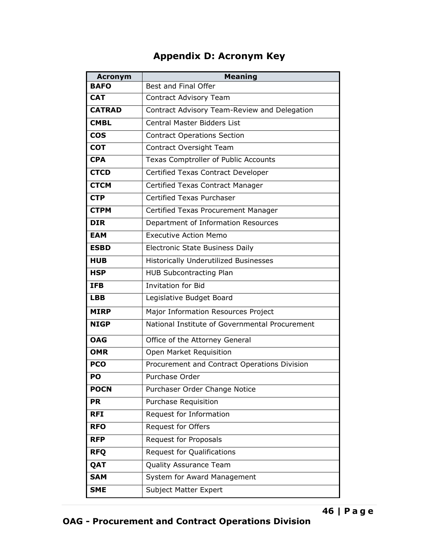# **Appendix D: Acronym Key**

<span id="page-47-0"></span>

| <b>Acronym</b> | <b>Meaning</b>                                 |  |
|----------------|------------------------------------------------|--|
| <b>BAFO</b>    | Best and Final Offer                           |  |
| <b>CAT</b>     | <b>Contract Advisory Team</b>                  |  |
| <b>CATRAD</b>  | Contract Advisory Team-Review and Delegation   |  |
| <b>CMBL</b>    | <b>Central Master Bidders List</b>             |  |
| <b>COS</b>     | <b>Contract Operations Section</b>             |  |
| <b>COT</b>     | Contract Oversight Team                        |  |
| <b>CPA</b>     | <b>Texas Comptroller of Public Accounts</b>    |  |
| <b>CTCD</b>    | Certified Texas Contract Developer             |  |
| <b>CTCM</b>    | Certified Texas Contract Manager               |  |
| <b>CTP</b>     | Certified Texas Purchaser                      |  |
| <b>CTPM</b>    | Certified Texas Procurement Manager            |  |
| <b>DIR</b>     | Department of Information Resources            |  |
| <b>EAM</b>     | <b>Executive Action Memo</b>                   |  |
| <b>ESBD</b>    | <b>Electronic State Business Daily</b>         |  |
| <b>HUB</b>     | <b>Historically Underutilized Businesses</b>   |  |
| <b>HSP</b>     | <b>HUB Subcontracting Plan</b>                 |  |
| <b>IFB</b>     | <b>Invitation for Bid</b>                      |  |
| <b>LBB</b>     | Legislative Budget Board                       |  |
| <b>MIRP</b>    | Major Information Resources Project            |  |
| <b>NIGP</b>    | National Institute of Governmental Procurement |  |
| <b>OAG</b>     | Office of the Attorney General                 |  |
| <b>OMR</b>     | Open Market Requisition                        |  |
| <b>PCO</b>     | Procurement and Contract Operations Division   |  |
| PO             | Purchase Order                                 |  |
| <b>POCN</b>    | Purchaser Order Change Notice                  |  |
| <b>PR</b>      | Purchase Requisition                           |  |
| <b>RFI</b>     | Request for Information                        |  |
| <b>RFO</b>     | <b>Request for Offers</b>                      |  |
| <b>RFP</b>     | Request for Proposals                          |  |
| <b>RFQ</b>     | Request for Qualifications                     |  |
| QAT            | Quality Assurance Team                         |  |
| <b>SAM</b>     | System for Award Management                    |  |
| <b>SME</b>     | <b>Subject Matter Expert</b>                   |  |

# **OAG - Procurement and Contract Operations Division**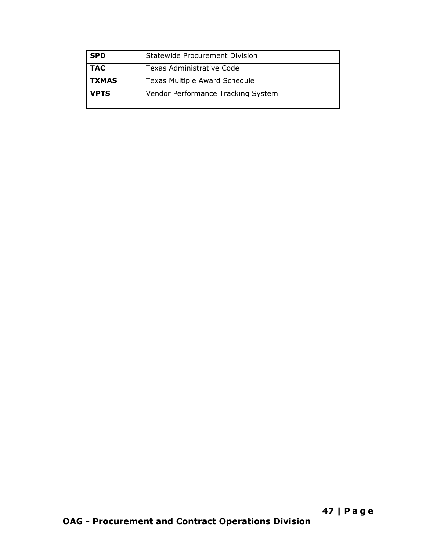| <b>SPD</b>   | Statewide Procurement Division     |
|--------------|------------------------------------|
| <b>TAC</b>   | Texas Administrative Code          |
| <b>TXMAS</b> | Texas Multiple Award Schedule      |
| <b>VPTS</b>  | Vendor Performance Tracking System |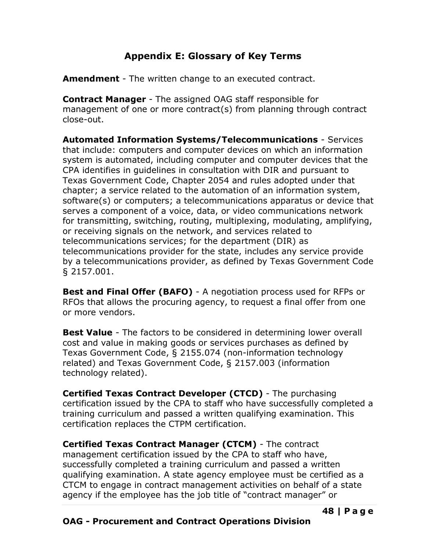# **Appendix E: Glossary of Key Terms**

<span id="page-49-0"></span>**Amendment** - The written change to an executed contract.

**Contract Manager** - The assigned OAG staff responsible for management of one or more contract(s) from planning through contract close-out.

**Automated Information Systems/Telecommunications** - Services that include: computers and computer devices on which an information system is automated, including computer and computer devices that the CPA identifies in guidelines in consultation with DIR and pursuant to Texas Government Code, Chapter 2054 and rules adopted under that chapter; a service related to the automation of an information system, software(s) or computers; a telecommunications apparatus or device that serves a component of a voice, data, or video communications network for transmitting, switching, routing, multiplexing, modulating, amplifying, or receiving signals on the network, and services related to telecommunications services; for the department (DIR) as telecommunications provider for the state, includes any service provide by a telecommunications provider, as defined by Texas Government Code § 2157.001.

**Best and Final Offer (BAFO)** - A negotiation process used for RFPs or RFOs that allows the procuring agency, to request a final offer from one or more vendors.

**Best Value** - The factors to be considered in determining lower overall cost and value in making goods or services purchases as defined by Texas Government Code, § 2155.074 (non-information technology related) and Texas Government Code, § 2157.003 (information technology related).

**Certified Texas Contract Developer (CTCD)** - The purchasing certification issued by the CPA to staff who have successfully completed a training curriculum and passed a written qualifying examination. This certification replaces the CTPM certification.

**Certified Texas Contract Manager (CTCM)** - The contract management certification issued by the CPA to staff who have, successfully completed a training curriculum and passed a written qualifying examination. A state agency employee must be certified as a CTCM to engage in contract management activities on behalf of a state agency if the employee has the job title of "contract manager" or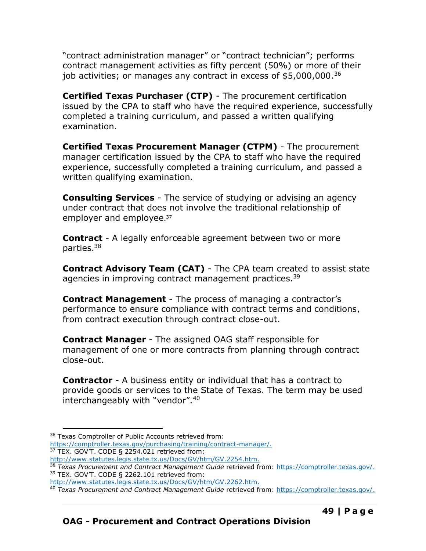"contract administration manager" or "contract technician"; performs contract management activities as fifty percent (50%) or more of their job activities; or manages any contract in excess of \$5,000,000.<sup>36</sup>

**Certified Texas Purchaser (CTP)** - The procurement certification issued by the CPA to staff who have the required experience, successfully completed a training curriculum, and passed a written qualifying examination.

**Certified Texas Procurement Manager (CTPM)** - The procurement manager certification issued by the CPA to staff who have the required experience, successfully completed a training curriculum, and passed a written qualifying examination.

**Consulting Services** - The service of studying or advising an agency under contract that does not involve the traditional relationship of employer and employee. 37

**Contract** - A legally enforceable agreement between two or more parties. 38

**Contract Advisory Team (CAT)** - The CPA team created to assist state agencies in improving contract management practices.<sup>39</sup>

**Contract Management** - The process of managing a contractor's performance to ensure compliance with contract terms and conditions, from contract execution through contract close-out.

**Contract Manager** - The assigned OAG staff responsible for management of one or more contracts from planning through contract close-out.

**Contractor** - A business entity or individual that has a contract to provide goods or services to the State of Texas. The term may be used interchangeably with "vendor".<sup>40</sup>

[https://comptroller.texas.gov/purchasing/training/contract-manager/.](https://comptroller.texas.gov/purchasing/training/contract-manager/) <sup>37</sup> TEX. GOV'T. CODE § 2254.021 retrieved from:

<sup>&</sup>lt;sup>36</sup> Texas Comptroller of Public Accounts retrieved from:

[http://www.statutes.legis.state.tx.us/Docs/GV/htm/GV.2254.htm.](http://www.statutes.legis.state.tx.us/Docs/GV/htm/GV.2254.htm)

<sup>38</sup> *Texas Procurement and Contract Management Guide* retrieved from: [https://comptroller.texas.gov/.](https://comptroller.texas.gov/) <sup>39</sup> TEX. GOV'T. CODE § 2262.101 retrieved from:

[http://www.statutes.legis.state.tx.us/Docs/GV/htm/GV.2262.htm.](http://www.statutes.legis.state.tx.us/Docs/GV/htm/GV.2262.htm)

<sup>40</sup> *Texas Procurement and Contract Management Guide* retrieved from: [https://comptroller.texas.gov/.](https://comptroller.texas.gov/)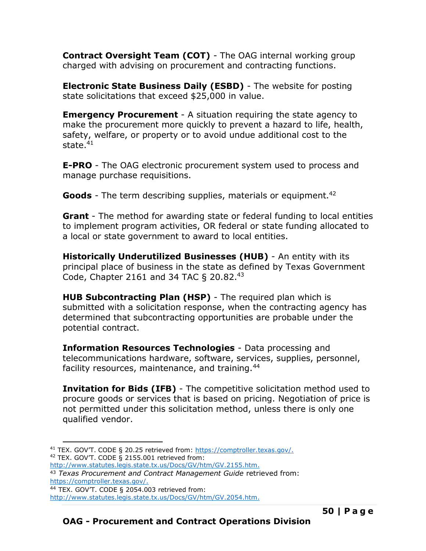**Contract Oversight Team (COT)** - The OAG internal working group charged with advising on procurement and contracting functions.

**Electronic State Business Daily (ESBD)** - The website for posting state solicitations that exceed \$25,000 in value.

**Emergency Procurement** - A situation requiring the state agency to make the procurement more quickly to prevent a hazard to life, health, safety, welfare, or property or to avoid undue additional cost to the state. 41

**E-PRO** - The OAG electronic procurement system used to process and manage purchase requisitions.

Goods - The term describing supplies, materials or equipment.<sup>42</sup>

**Grant** - The method for awarding state or federal funding to local entities to implement program activities, OR federal or state funding allocated to a local or state government to award to local entities.

**Historically Underutilized Businesses (HUB)** - An entity with its principal place of business in the state as defined by Texas Government Code, Chapter 2161 and 34 TAC § 20.82.<sup>43</sup>

**HUB Subcontracting Plan (HSP)** - The required plan which is submitted with a solicitation response, when the contracting agency has determined that subcontracting opportunities are probable under the potential contract.

**Information Resources Technologies** - Data processing and telecommunications hardware, software, services, supplies, personnel, facility resources, maintenance, and training.<sup>44</sup>

**Invitation for Bids (IFB)** - The competitive solicitation method used to procure goods or services that is based on pricing. Negotiation of price is not permitted under this solicitation method, unless there is only one qualified vendor.

<sup>41</sup> TEX. GOV'T. CODE § 20.25 retrieved from: [https://comptroller.texas.gov/.](https://comptroller.texas.gov/) <sup>42</sup> TEX. GOV'T. CODE § 2155.001 retrieved from:

[http://www.statutes.legis.state.tx.us/Docs/GV/htm/GV.2155.htm.](http://www.statutes.legis.state.tx.us/Docs/GV/htm/GV.2155.htm)

<sup>43</sup> *Texas Procurement and Contract Management Guide* retrieved from: [https://comptroller.texas.gov/.](https://comptroller.texas.gov/)

<sup>44</sup> TEX. GOV'T. CODE § 2054.003 retrieved from:

[http://www.statutes.legis.state.tx.us/Docs/GV/htm/GV.2054.htm.](http://www.statutes.legis.state.tx.us/Docs/GV/htm/GV.2054.htm)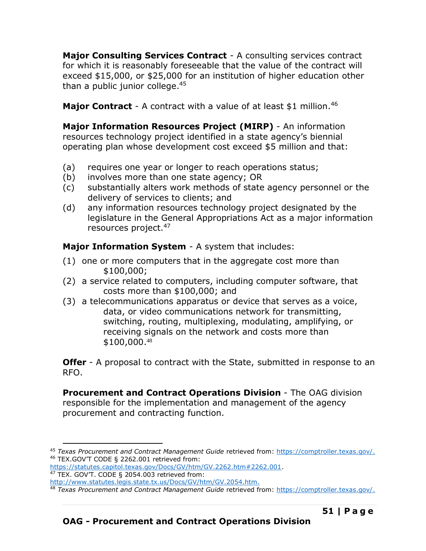**Major Consulting Services Contract** - A consulting services contract for which it is reasonably foreseeable that the value of the contract will exceed \$15,000, or \$25,000 for an institution of higher education other than a public junior college. $45$ 

**Major Contract** - A contract with a value of at least \$1 million.<sup>46</sup>

**Major Information Resources Project (MIRP)** - An information resources technology project identified in a state agency's biennial operating plan whose development cost exceed \$5 million and that:

- (a) requires one year or longer to reach operations status;
- (b) involves more than one state agency; OR
- (c) substantially alters work methods of state agency personnel or the delivery of services to clients; and
- (d) any information resources technology project designated by the legislature in the General Appropriations Act as a major information resources project.<sup>47</sup>

**Major Information System** - A system that includes:

- (1) one or more computers that in the aggregate cost more than \$100,000;
- (2) a service related to computers, including computer software, that costs more than \$100,000; and
- (3) a telecommunications apparatus or device that serves as a voice, data, or video communications network for transmitting, switching, routing, multiplexing, modulating, amplifying, or receiving signals on the network and costs more than \$100,000. 48

**Offer** - A proposal to contract with the State, submitted in response to an RFO.

**Procurement and Contract Operations Division** - The OAG division responsible for the implementation and management of the agency procurement and contracting function.

<sup>45</sup> *Texas Procurement and Contract Management Guide* retrieved from: [https://comptroller.texas.gov/.](https://comptroller.texas.gov/) <sup>46</sup> TEX.GOV'T CODE § 2262.001 retrieved from:

[https://statutes.capitol.texas.gov/Docs/GV/htm/GV.2262.htm#2262.001.](https://statutes.capitol.texas.gov/Docs/GV/htm/GV.2262.htm#2262.001) <sup>47</sup> TEX. GOV'T. CODE § 2054.003 retrieved from:

[http://www.statutes.legis.state.tx.us/Docs/GV/htm/GV.2054.htm.](http://www.statutes.legis.state.tx.us/Docs/GV/htm/GV.2054.htm)

<sup>48</sup> *Texas Procurement and Contract Management Guide* retrieved from: [https://comptroller.texas.gov/.](https://comptroller.texas.gov/)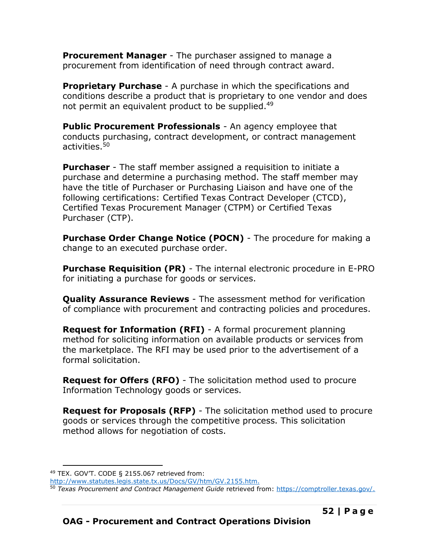**Procurement Manager** - The purchaser assigned to manage a procurement from identification of need through contract award.

**Proprietary Purchase** - A purchase in which the specifications and conditions describe a product that is proprietary to one vendor and does not permit an equivalent product to be supplied.<sup>49</sup>

**Public Procurement Professionals** - An agency employee that conducts purchasing, contract development, or contract management activities.<sup>50</sup>

**Purchaser** - The staff member assigned a requisition to initiate a purchase and determine a purchasing method. The staff member may have the title of Purchaser or Purchasing Liaison and have one of the following certifications: Certified Texas Contract Developer (CTCD), Certified Texas Procurement Manager (CTPM) or Certified Texas Purchaser (CTP).

**Purchase Order Change Notice (POCN)** - The procedure for making a change to an executed purchase order.

**Purchase Requisition (PR)** - The internal electronic procedure in E-PRO for initiating a purchase for goods or services.

**Quality Assurance Reviews** - The assessment method for verification of compliance with procurement and contracting policies and procedures.

**Request for Information (RFI)** - A formal procurement planning method for soliciting information on available products or services from the marketplace. The RFI may be used prior to the advertisement of a formal solicitation.

**Request for Offers (RFO)** - The solicitation method used to procure Information Technology goods or services.

**Request for Proposals (RFP)** - The solicitation method used to procure goods or services through the competitive process. This solicitation method allows for negotiation of costs.

<sup>49</sup> TEX. GOV'T. CODE § 2155.067 retrieved from:

[http://www.statutes.legis.state.tx.us/Docs/GV/htm/GV.2155.htm.](http://www.statutes.legis.state.tx.us/Docs/GV/htm/GV.2155.htm)

<sup>50</sup> *Texas Procurement and Contract Management Guide* retrieved from: [https://comptroller.texas.gov/.](https://comptroller.texas.gov/)